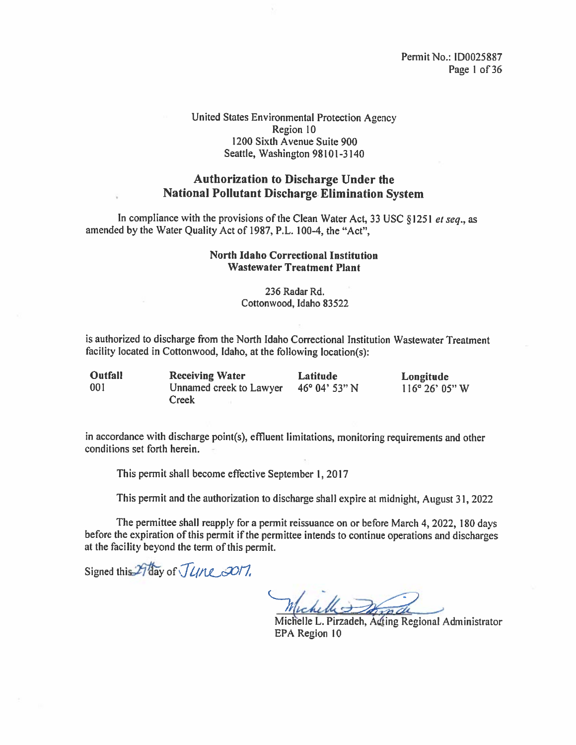#### United States Environmental Protection Agency Region 10 1200 Sixth Avenue Suite 900 Seattle, Washington 98101-3 140

#### Authorization to Discharge Under the National Pollutant Discharge Elimination System

In compliance with the provisions of the Clean Water Act, 33 USC §1251 *et seq.*, as amended by the Water Quality Act of 1987, P.L. 100-4, the "Act",

#### North Idaho Correctional Institution Wastewater Treatment Plant

236 Radar Rd. Cottonwood, Idaho 83522

is authorized to discharge from the North Idaho Correctional Institution Wastewater Treatment facility located in Cottonwood, Idaho, at the following location(s):

| <b>Outfall</b> | <b>Receiving Water</b>  | <b>Latitude</b>        | Longitude                |
|----------------|-------------------------|------------------------|--------------------------|
| -001           | Unnamed creek to Lawyer | $46^{\circ}$ 04' 53" N | $116^{\circ} 26' 05'' W$ |
|                | Creek                   |                        |                          |

in accordance with discharge point(s), effluent limitations, monitoring requirements and other conditions set forth herein.

This permit shall become effective September 1,2017

This permit and the authorization to discharge shall expire at midnight, August 31, <sup>2022</sup>

The permittee shall reapply for <sup>a</sup> permit reissuance on or before March 4, 2022, <sup>180</sup> days before the expiration of this permit if the permittee intends to continue operations and discharges at the facility beyond the term of this permit.

Signed this 29 day of *June 3017*,

Michelle L. Pirzadeh, A4ing Regional Administrator EPA Region 10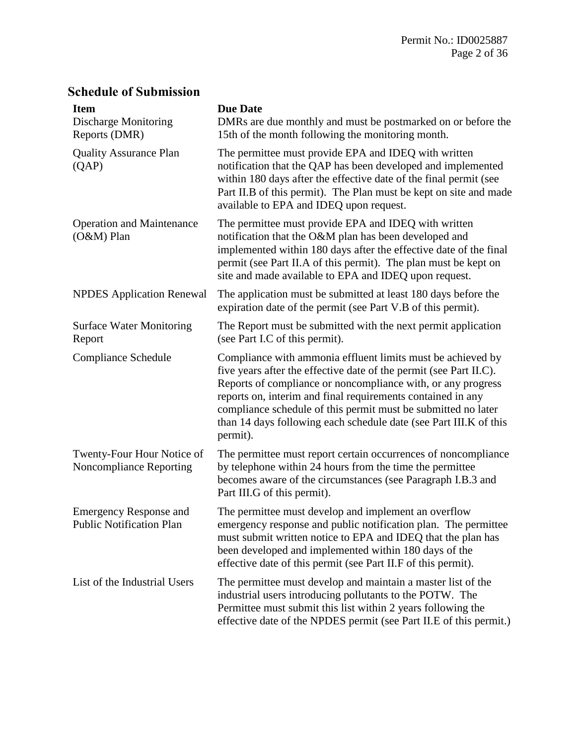# **Schedule of Submission**

| <b>Item</b><br><b>Discharge Monitoring</b><br>Reports (DMR)      | <b>Due Date</b><br>DMRs are due monthly and must be postmarked on or before the<br>15th of the month following the monitoring month.                                                                                                                                                                                                                                                                               |
|------------------------------------------------------------------|--------------------------------------------------------------------------------------------------------------------------------------------------------------------------------------------------------------------------------------------------------------------------------------------------------------------------------------------------------------------------------------------------------------------|
| <b>Quality Assurance Plan</b><br>(QAP)                           | The permittee must provide EPA and IDEQ with written<br>notification that the QAP has been developed and implemented<br>within 180 days after the effective date of the final permit (see<br>Part II.B of this permit). The Plan must be kept on site and made<br>available to EPA and IDEQ upon request.                                                                                                          |
| <b>Operation and Maintenance</b><br>$(O&M)$ Plan                 | The permittee must provide EPA and IDEQ with written<br>notification that the O&M plan has been developed and<br>implemented within 180 days after the effective date of the final<br>permit (see Part II.A of this permit). The plan must be kept on<br>site and made available to EPA and IDEQ upon request.                                                                                                     |
| <b>NPDES</b> Application Renewal                                 | The application must be submitted at least 180 days before the<br>expiration date of the permit (see Part V.B of this permit).                                                                                                                                                                                                                                                                                     |
| <b>Surface Water Monitoring</b><br>Report                        | The Report must be submitted with the next permit application<br>(see Part I.C of this permit).                                                                                                                                                                                                                                                                                                                    |
| <b>Compliance Schedule</b>                                       | Compliance with ammonia effluent limits must be achieved by<br>five years after the effective date of the permit (see Part II.C).<br>Reports of compliance or noncompliance with, or any progress<br>reports on, interim and final requirements contained in any<br>compliance schedule of this permit must be submitted no later<br>than 14 days following each schedule date (see Part III.K of this<br>permit). |
| Twenty-Four Hour Notice of<br>Noncompliance Reporting            | The permittee must report certain occurrences of noncompliance<br>by telephone within 24 hours from the time the permittee<br>becomes aware of the circumstances (see Paragraph I.B.3 and<br>Part III.G of this permit).                                                                                                                                                                                           |
| <b>Emergency Response and</b><br><b>Public Notification Plan</b> | The permittee must develop and implement an overflow<br>emergency response and public notification plan. The permittee<br>must submit written notice to EPA and IDEQ that the plan has<br>been developed and implemented within 180 days of the<br>effective date of this permit (see Part II.F of this permit).                                                                                                   |
| List of the Industrial Users                                     | The permittee must develop and maintain a master list of the<br>industrial users introducing pollutants to the POTW. The<br>Permittee must submit this list within 2 years following the<br>effective date of the NPDES permit (see Part II.E of this permit.)                                                                                                                                                     |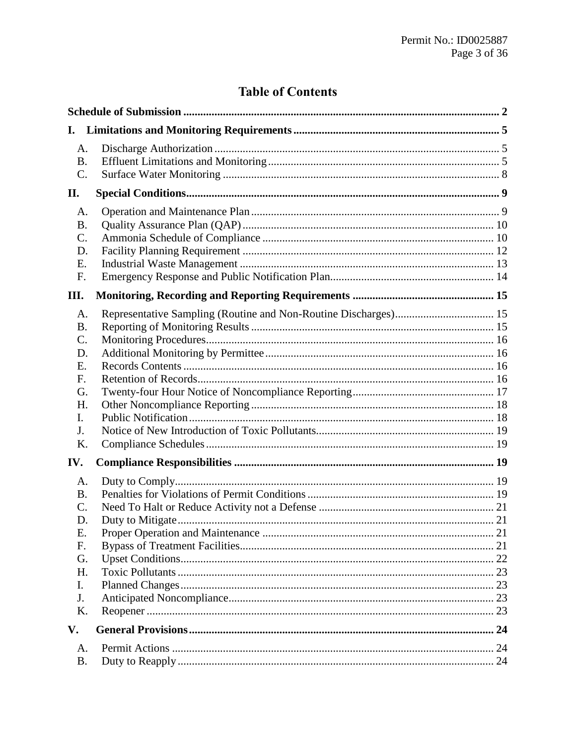# **Table of Contents**

| I.                                                                          |  |
|-----------------------------------------------------------------------------|--|
| A.<br><b>B.</b><br>C.                                                       |  |
| П.                                                                          |  |
| A.<br><b>B.</b><br>C.<br>D.<br>Ε.<br>F.                                     |  |
| III.                                                                        |  |
| А.<br><b>B.</b><br>C.<br>D.<br>Ε.<br>F.<br>G.<br>Η.<br>I.<br>J.<br>K.       |  |
| IV.                                                                         |  |
| A.<br><b>B.</b><br>C.<br>D.<br>E.<br>F.<br>G.<br>H.<br>I.<br>J.<br>K.<br>V. |  |
| A.                                                                          |  |
| <b>B.</b>                                                                   |  |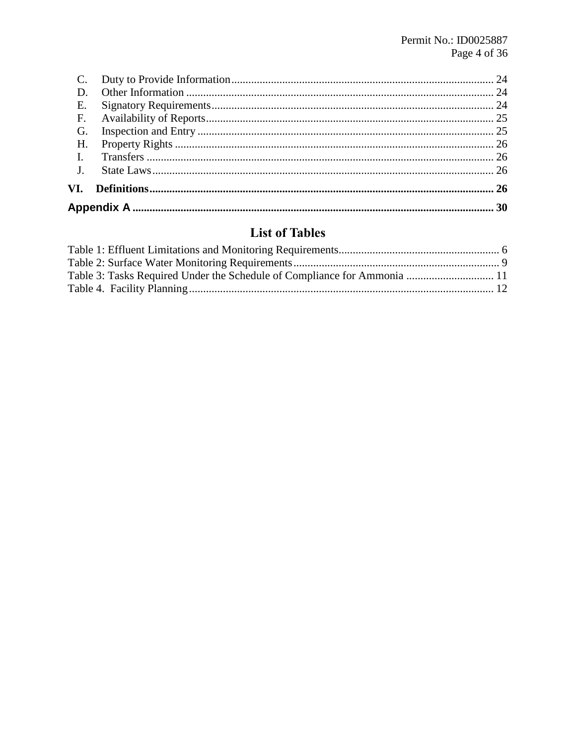| Е.          |  |
|-------------|--|
| F.          |  |
| G.          |  |
| H.          |  |
|             |  |
| $J_{\cdot}$ |  |
| VI.         |  |
|             |  |

# **List of Tables**

| Table 3: Tasks Required Under the Schedule of Compliance for Ammonia  11 |  |
|--------------------------------------------------------------------------|--|
|                                                                          |  |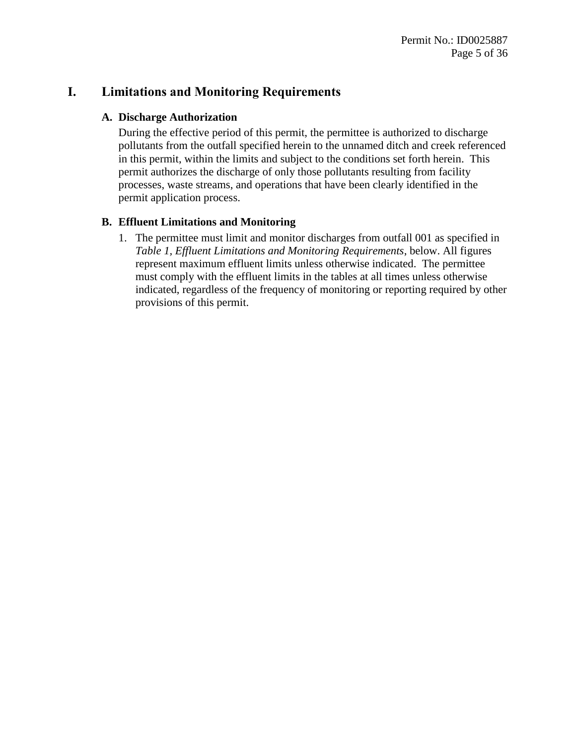# **I. Limitations and Monitoring Requirements**

#### **A. Discharge Authorization**

During the effective period of this permit, the permittee is authorized to discharge pollutants from the outfall specified herein to the unnamed ditch and creek referenced in this permit, within the limits and subject to the conditions set forth herein. This permit authorizes the discharge of only those pollutants resulting from facility processes, waste streams, and operations that have been clearly identified in the permit application process.

## <span id="page-4-0"></span>**B. Effluent Limitations and Monitoring**

1. The permittee must limit and monitor discharges from outfall 001 as specified in *Table 1, Effluent Limitations and Monitoring Requirements*, below. All figures represent maximum effluent limits unless otherwise indicated. The permittee must comply with the effluent limits in the tables at all times unless otherwise indicated, regardless of the frequency of monitoring or reporting required by other provisions of this permit.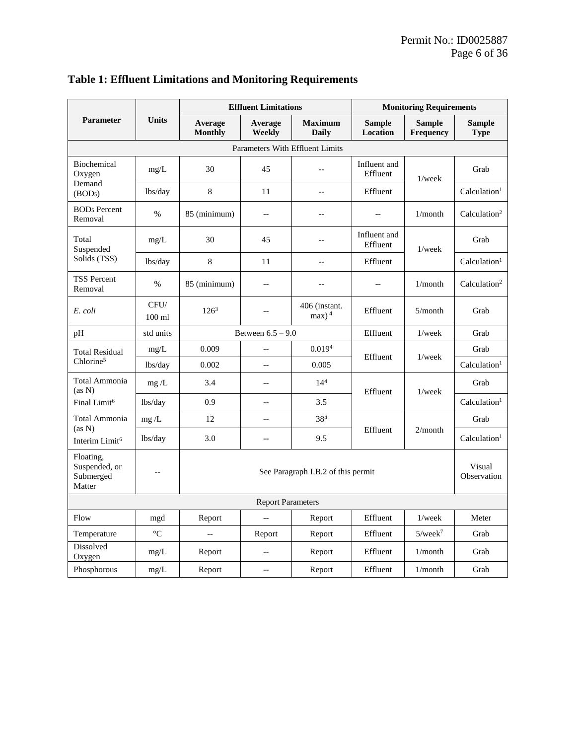|                                                   |                  | <b>Effluent Limitations</b>        |                          | <b>Monitoring Requirements</b>        |                           |                            |                              |
|---------------------------------------------------|------------------|------------------------------------|--------------------------|---------------------------------------|---------------------------|----------------------------|------------------------------|
| <b>Parameter</b>                                  | <b>Units</b>     | Average<br><b>Monthly</b>          | Average<br>Weekly        | <b>Maximum</b><br><b>Daily</b>        | <b>Sample</b><br>Location | <b>Sample</b><br>Frequency | <b>Sample</b><br><b>Type</b> |
|                                                   |                  |                                    |                          | Parameters With Effluent Limits       |                           |                            |                              |
| Biochemical<br>Oxygen                             | mg/L             | 30                                 | 45                       | u.                                    | Influent and<br>Effluent  | $1$ /wee $k$               | Grab                         |
| Demand<br>(BOD <sub>5</sub> )                     | lbs/day          | 8                                  | 11                       | $\overline{a}$                        | Effluent                  |                            | Calculation <sup>1</sup>     |
| <b>BOD<sub>5</sub></b> Percent<br>Removal         | $\%$             | 85 (minimum)                       | $\overline{\phantom{a}}$ | $-$                                   | $\overline{a}$            | 1/month                    | Calculation <sup>2</sup>     |
| Total<br>Suspended                                | mg/L             | 30                                 | 45                       | $-$                                   | Influent and<br>Effluent  | $1$ /wee $k$               | Grab                         |
| Solids (TSS)                                      | lbs/day          | $\,8\,$                            | 11                       | $-$                                   | Effluent                  |                            | Calculation <sup>1</sup>     |
| <b>TSS Percent</b><br>Removal                     | $\%$             | 85 (minimum)                       | $-$                      | $-$                                   |                           | 1/month                    | Calculation <sup>2</sup>     |
| E. coli                                           | CFU/<br>$100$ ml | $126^3$                            | $-$                      | 406 (instant.<br>$max$ ) <sup>4</sup> | Effluent                  | 5/month                    | Grab                         |
| pH                                                | std units        |                                    | Between $6.5 - 9.0$      |                                       | Effluent                  | $1$ /wee $k$               | Grab                         |
| <b>Total Residual</b>                             | mg/L             | 0.009                              | $\overline{\phantom{a}}$ | 0.019 <sup>4</sup>                    | Effluent<br>$1$ /wee $k$  |                            | Grab                         |
| Chlorine <sup>5</sup>                             | lbs/day          | 0.002                              | $\overline{a}$           | 0.005                                 |                           |                            | Calculation <sup>1</sup>     |
| Total Ammonia<br>(as N)                           | mg/L             | 3.4                                | $\overline{\phantom{a}}$ | 14 <sup>4</sup>                       | Effluent<br>$1$ /wee $k$  | Grab                       |                              |
| Final Limit <sup>6</sup>                          | lbs/day          | 0.9                                | $-\,-$                   | 3.5                                   |                           |                            | Calculation <sup>1</sup>     |
| Total Ammonia                                     | mg/L             | 12                                 | $-$                      | $38^{4}$                              |                           |                            | Grab                         |
| (as N)<br>Interim Limit <sup>6</sup>              | lbs/day          | 3.0                                | $\overline{\phantom{a}}$ | 9.5                                   | Effluent                  | 2/month                    | Calculation <sup>1</sup>     |
| Floating,<br>Suspended, or<br>Submerged<br>Matter | $-$              | See Paragraph I.B.2 of this permit |                          |                                       | Visual<br>Observation     |                            |                              |
| <b>Report Parameters</b>                          |                  |                                    |                          |                                       |                           |                            |                              |
| Flow                                              | mgd              | Report                             | $\overline{a}$           | Report                                | Effluent                  | $1$ /wee $k$               | Meter                        |
| Temperature                                       | $\rm ^{\circ}C$  | $-\,-$                             | Report                   | Report                                | Effluent                  | $5$ /week $^7$             | Grab                         |
| Dissolved<br>Oxygen                               | mg/L             | Report                             | $-$                      | Report                                | Effluent                  | 1/month                    | Grab                         |
| Phosphorous                                       | mg/L             | Report                             | $\sim$                   | Report                                | Effluent                  | 1/month                    | Grab                         |

# <span id="page-5-0"></span>**Table 1: Effluent Limitations and Monitoring Requirements**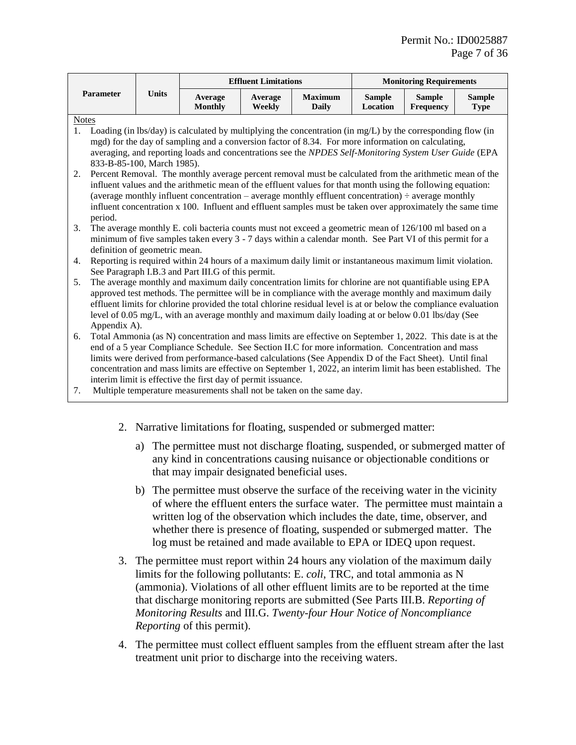<span id="page-6-1"></span><span id="page-6-0"></span>

|                |                                                                                                                  |              |                                                                                                                                                                                                                         | <b>Effluent Limitations</b> |                                | <b>Monitoring Requirements</b> |                                   |                              |
|----------------|------------------------------------------------------------------------------------------------------------------|--------------|-------------------------------------------------------------------------------------------------------------------------------------------------------------------------------------------------------------------------|-----------------------------|--------------------------------|--------------------------------|-----------------------------------|------------------------------|
|                | Parameter                                                                                                        | <b>Units</b> | Average<br><b>Monthly</b>                                                                                                                                                                                               | Average<br>Weekly           | <b>Maximum</b><br><b>Daily</b> | <b>Sample</b><br>Location      | <b>Sample</b><br><b>Frequency</b> | <b>Sample</b><br><b>Type</b> |
| <b>Notes</b>   |                                                                                                                  |              |                                                                                                                                                                                                                         |                             |                                |                                |                                   |                              |
| 1 <sub>1</sub> |                                                                                                                  |              | Loading (in lbs/day) is calculated by multiplying the concentration (in mg/L) by the corresponding flow (in                                                                                                             |                             |                                |                                |                                   |                              |
|                |                                                                                                                  |              | mgd) for the day of sampling and a conversion factor of 8.34. For more information on calculating,                                                                                                                      |                             |                                |                                |                                   |                              |
|                |                                                                                                                  |              | averaging, and reporting loads and concentrations see the NPDES Self-Monitoring System User Guide (EPA                                                                                                                  |                             |                                |                                |                                   |                              |
|                | 833-B-85-100, March 1985).                                                                                       |              |                                                                                                                                                                                                                         |                             |                                |                                |                                   |                              |
| 2.             |                                                                                                                  |              | Percent Removal. The monthly average percent removal must be calculated from the arithmetic mean of the                                                                                                                 |                             |                                |                                |                                   |                              |
|                |                                                                                                                  |              | influent values and the arithmetic mean of the effluent values for that month using the following equation:<br>(average monthly influent concentration – average monthly effluent concentration) $\div$ average monthly |                             |                                |                                |                                   |                              |
|                |                                                                                                                  |              | influent concentration x 100. Influent and effluent samples must be taken over approximately the same time                                                                                                              |                             |                                |                                |                                   |                              |
|                | period.                                                                                                          |              |                                                                                                                                                                                                                         |                             |                                |                                |                                   |                              |
| 3.             |                                                                                                                  |              | The average monthly E. coli bacteria counts must not exceed a geometric mean of 126/100 ml based on a                                                                                                                   |                             |                                |                                |                                   |                              |
|                |                                                                                                                  |              | minimum of five samples taken every 3 - 7 days within a calendar month. See Part VI of this permit for a                                                                                                                |                             |                                |                                |                                   |                              |
|                | definition of geometric mean.                                                                                    |              |                                                                                                                                                                                                                         |                             |                                |                                |                                   |                              |
| 4.             | Reporting is required within 24 hours of a maximum daily limit or instantaneous maximum limit violation.         |              |                                                                                                                                                                                                                         |                             |                                |                                |                                   |                              |
|                | See Paragraph I.B.3 and Part III.G of this permit.                                                               |              |                                                                                                                                                                                                                         |                             |                                |                                |                                   |                              |
| 5.             | The average monthly and maximum daily concentration limits for chlorine are not quantifiable using EPA           |              |                                                                                                                                                                                                                         |                             |                                |                                |                                   |                              |
|                | approved test methods. The permittee will be in compliance with the average monthly and maximum daily            |              |                                                                                                                                                                                                                         |                             |                                |                                |                                   |                              |
|                | effluent limits for chlorine provided the total chlorine residual level is at or below the compliance evaluation |              |                                                                                                                                                                                                                         |                             |                                |                                |                                   |                              |
|                | level of 0.05 mg/L, with an average monthly and maximum daily loading at or below 0.01 lbs/day (See              |              |                                                                                                                                                                                                                         |                             |                                |                                |                                   |                              |
| 6.             | Appendix A).                                                                                                     |              | Total Ammonia (as N) concentration and mass limits are effective on September 1, 2022. This date is at the                                                                                                              |                             |                                |                                |                                   |                              |
|                |                                                                                                                  |              | end of a 5 year Compliance Schedule. See Section II.C for more information. Concentration and mass                                                                                                                      |                             |                                |                                |                                   |                              |
|                |                                                                                                                  |              | limits were derived from performance-based calculations (See Appendix D of the Fact Sheet). Until final                                                                                                                 |                             |                                |                                |                                   |                              |
|                |                                                                                                                  |              | concentration and mass limits are effective on September 1, 2022, an interim limit has been established. The                                                                                                            |                             |                                |                                |                                   |                              |
|                |                                                                                                                  |              | interim limit is effective the first day of permit issuance.                                                                                                                                                            |                             |                                |                                |                                   |                              |
| 7.             |                                                                                                                  |              | Multiple temperature measurements shall not be taken on the same day.                                                                                                                                                   |                             |                                |                                |                                   |                              |
|                |                                                                                                                  |              |                                                                                                                                                                                                                         |                             |                                |                                |                                   |                              |
|                |                                                                                                                  |              |                                                                                                                                                                                                                         |                             |                                |                                |                                   |                              |
|                |                                                                                                                  |              | 2. Narrative limitations for floating, suspended or submerged matter:                                                                                                                                                   |                             |                                |                                |                                   |                              |

- a) The permittee must not discharge floating, suspended, or submerged matter of any kind in concentrations causing nuisance or objectionable conditions or that may impair designated beneficial uses.
- b) The permittee must observe the surface of the receiving water in the vicinity of where the effluent enters the surface water. The permittee must maintain a written log of the observation which includes the date, time, observer, and whether there is presence of floating, suspended or submerged matter. The log must be retained and made available to EPA or IDEQ upon request.
- 3. The permittee must report within 24 hours any violation of the maximum daily limits for the following pollutants: E. *coli*, TRC, and total ammonia as N (ammonia). Violations of all other effluent limits are to be reported at the time that discharge monitoring reports are submitted (See Parts III.B. *[Reporting of](#page-14-0)  [Monitoring Results](#page-14-0)* and III.G. *[Twenty-four Hour Notice of Noncompliance](#page-16-0)  [Reporting](#page-16-0)* of this permit).
- 4. The permittee must collect effluent samples from the effluent stream after the last treatment unit prior to discharge into the receiving waters.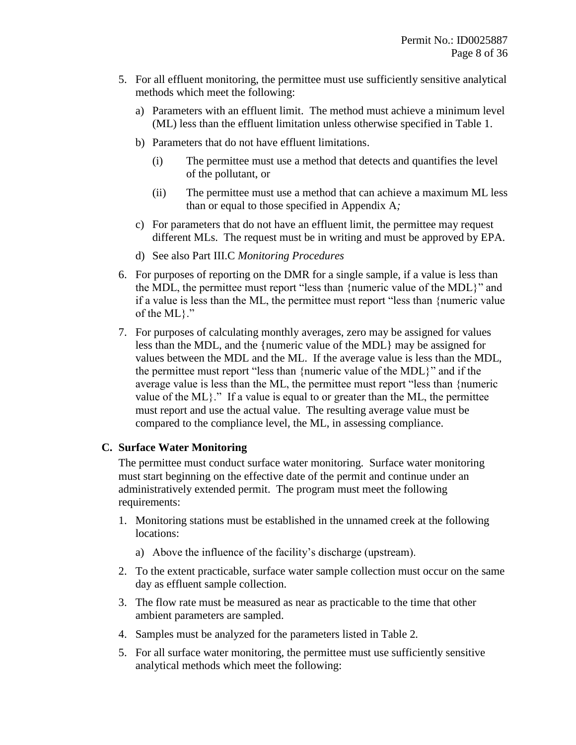- 5. For all effluent monitoring, the permittee must use sufficiently sensitive analytical methods which meet the following:
	- a) Parameters with an effluent limit. The method must achieve a minimum level (ML) less than the effluent limitation unless otherwise specified in Table 1.
	- b) Parameters that do not have effluent limitations.
		- (i) The permittee must use a method that detects and quantifies the level of the pollutant, or
		- (ii) The permittee must use a method that can achieve a maximum ML less than or equal to those specified in Appendix A*;*
	- c) For parameters that do not have an effluent limit, the permittee may request different MLs. The request must be in writing and must be approved by EPA.
	- d) See also Part [III.C](#page-15-0) *[Monitoring Procedures](#page-15-0)*
- 6. For purposes of reporting on the DMR for a single sample, if a value is less than the MDL, the permittee must report "less than {numeric value of the MDL}" and if a value is less than the ML, the permittee must report "less than {numeric value of the ML}."
- 7. For purposes of calculating monthly averages, zero may be assigned for values less than the MDL, and the {numeric value of the MDL} may be assigned for values between the MDL and the ML. If the average value is less than the MDL, the permittee must report "less than {numeric value of the MDL}" and if the average value is less than the ML, the permittee must report "less than {numeric value of the ML}." If a value is equal to or greater than the ML, the permittee must report and use the actual value. The resulting average value must be compared to the compliance level, the ML, in assessing compliance.

## <span id="page-7-0"></span>**C. Surface Water Monitoring**

The permittee must conduct surface water monitoring. Surface water monitoring must start beginning on the effective date of the permit and continue under an administratively extended permit. The program must meet the following requirements:

- 1. Monitoring stations must be established in the unnamed creek at the following locations:
	- a) Above the influence of the facility's discharge (upstream).
- 2. To the extent practicable, surface water sample collection must occur on the same day as effluent sample collection.
- 3. The flow rate must be measured as near as practicable to the time that other ambient parameters are sampled.
- 4. Samples must be analyzed for the parameters listed in Table 2*.*
- 5. For all surface water monitoring, the permittee must use sufficiently sensitive analytical methods which meet the following: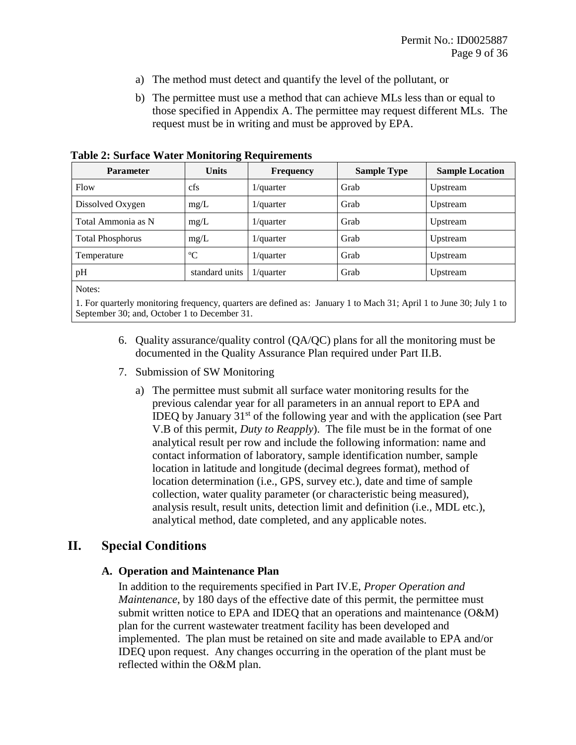- a) The method must detect and quantify the level of the pollutant, or
- b) The permittee must use a method that can achieve MLs less than or equal to those specified in Appendix A. The permittee may request different MLs. The request must be in writing and must be approved by EPA.

| <b>Parameter</b>        | $\mathbf{\sigma}$<br><b>Units</b> | <b>Frequency</b> | <b>Sample Type</b> | <b>Sample Location</b> |
|-------------------------|-----------------------------------|------------------|--------------------|------------------------|
| Flow                    | cfs                               | $1$ /quarter     | Grab               | Upstream               |
| Dissolved Oxygen        | mg/L                              | $1$ /quarter     | Grab               | Upstream               |
| Total Ammonia as N      | mg/L                              | $1$ /quarter     | Grab               | Upstream               |
| <b>Total Phosphorus</b> | mg/L                              | $1$ /quarter     | Grab               | Upstream               |
| Temperature             | $\rm ^{o}C$                       | $1$ /quarter     | Grab               | Upstream               |
| pH                      | standard units                    | $1$ /quarter     | Grab               | Upstream               |
| - -                     |                                   |                  |                    |                        |

<span id="page-8-1"></span>**Table 2: Surface Water Monitoring Requirements**

Notes:

1. For quarterly monitoring frequency, quarters are defined as: January 1 to Mach 31; April 1 to June 30; July 1 to September 30; and, October 1 to December 31.

- 6. Quality assurance/quality control (QA/QC) plans for all the monitoring must be documented in the Quality Assurance Plan required under Part [II.B.](#page-9-0)
- 7. Submission of SW Monitoring
	- a) The permittee must submit all surface water monitoring results for the previous calendar year for all parameters in an annual report to EPA and IDEQ by January  $31<sup>st</sup>$  of the following year and with the application (see Part [V.B](#page-23-0) of this permit, *[Duty to Reapply](#page-23-0)*). The file must be in the format of one analytical result per row and include the following information: name and contact information of laboratory, sample identification number, sample location in latitude and longitude (decimal degrees format), method of location determination (i.e., GPS, survey etc.), date and time of sample collection, water quality parameter (or characteristic being measured), analysis result, result units, detection limit and definition (i.e., MDL etc.), analytical method, date completed, and any applicable notes.

## <span id="page-8-0"></span>**II. Special Conditions**

#### **A. Operation and Maintenance Plan**

In addition to the requirements specified in Part [IV.E,](#page-20-0) *[Proper Operation and](#page-20-0)  [Maintenance](#page-20-0)*, by 180 days of the effective date of this permit, the permittee must submit written notice to EPA and IDEQ that an operations and maintenance (O&M) plan for the current wastewater treatment facility has been developed and implemented. The plan must be retained on site and made available to EPA and/or IDEQ upon request. Any changes occurring in the operation of the plant must be reflected within the O&M plan.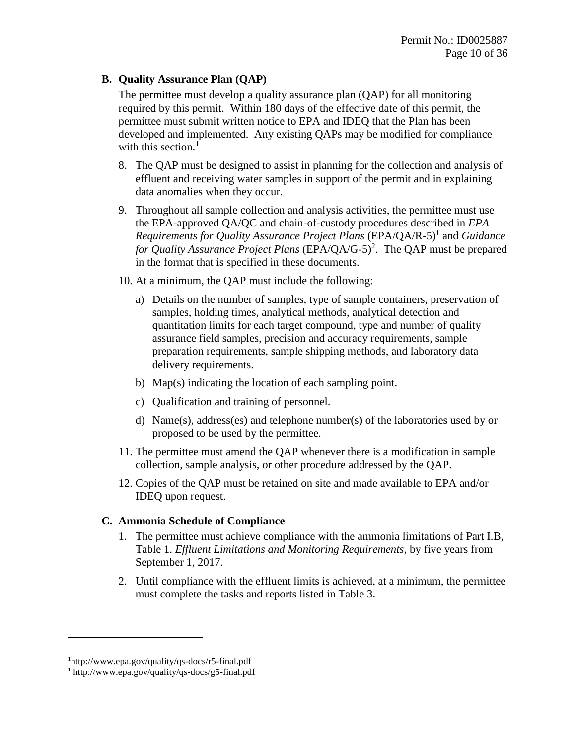#### <span id="page-9-0"></span>**B. Quality Assurance Plan (QAP)**

The permittee must develop a quality assurance plan (QAP) for all monitoring required by this permit. Within 180 days of the effective date of this permit, the permittee must submit written notice to EPA and IDEQ that the Plan has been developed and implemented. Any existing QAPs may be modified for compliance with this section. $<sup>1</sup>$ </sup>

- 8. The QAP must be designed to assist in planning for the collection and analysis of effluent and receiving water samples in support of the permit and in explaining data anomalies when they occur.
- 9. Throughout all sample collection and analysis activities, the permittee must use the EPA-approved QA/QC and chain-of-custody procedures described in *EPA*  Requirements for Quality Assurance Project Plans (EPA/QA/R-5)<sup>1</sup> and *Guidance* for Quality Assurance Project Plans (EPA/QA/G-5)<sup>2</sup>. The QAP must be prepared in the format that is specified in these documents.
- 10. At a minimum, the QAP must include the following:
	- a) Details on the number of samples, type of sample containers, preservation of samples, holding times, analytical methods, analytical detection and quantitation limits for each target compound, type and number of quality assurance field samples, precision and accuracy requirements, sample preparation requirements, sample shipping methods, and laboratory data delivery requirements.
	- b) Map(s) indicating the location of each sampling point.
	- c) Qualification and training of personnel.
	- d) Name(s), address(es) and telephone number(s) of the laboratories used by or proposed to be used by the permittee.
- 11. The permittee must amend the QAP whenever there is a modification in sample collection, sample analysis, or other procedure addressed by the QAP.
- 12. Copies of the QAP must be retained on site and made available to EPA and/or IDEQ upon request.

## **C. Ammonia Schedule of Compliance**

- 1. The permittee must achieve compliance with the ammonia limitations of Part I.B, Table 1. *Effluent Limitations and Monitoring Requirements*, by five years from September 1, 2017.
- 2. Until compliance with the effluent limits is achieved, at a minimum, the permittee must complete the tasks and reports listed in Table 3.

 $\overline{a}$ 

<sup>1</sup>http://www.epa.gov/quality/qs-docs/r5-final.pdf

<sup>1</sup> http://www.epa.gov/quality/qs-docs/g5-final.pdf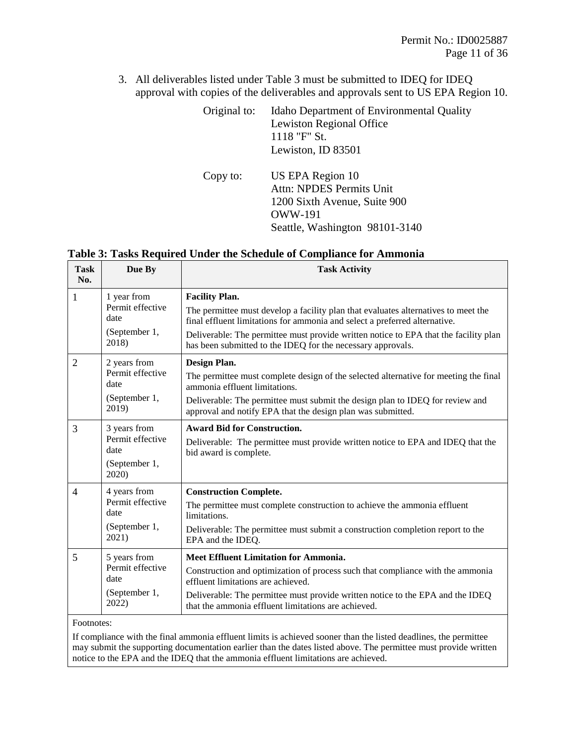3. All deliverables listed under Table 3 must be submitted to IDEQ for IDEQ approval with copies of the deliverables and approvals sent to US EPA Region 10.

| Original to: | Idaho Department of Environmental Quality<br><b>Lewiston Regional Office</b><br>1118 "F" St.<br>Lewiston, ID 83501                      |
|--------------|-----------------------------------------------------------------------------------------------------------------------------------------|
| Copy to:     | US EPA Region 10<br><b>Attn: NPDES Permits Unit</b><br>1200 Sixth Avenue, Suite 900<br><b>OWW-191</b><br>Seattle, Washington 98101-3140 |

<span id="page-10-0"></span>**Table 3: Tasks Required Under the Schedule of Compliance for Ammonia**

| <b>Task</b><br>No. | Due By                                                             | <b>Task Activity</b>                                                                                                                                                                                                                                                                                                                             |
|--------------------|--------------------------------------------------------------------|--------------------------------------------------------------------------------------------------------------------------------------------------------------------------------------------------------------------------------------------------------------------------------------------------------------------------------------------------|
| 1                  | 1 year from<br>Permit effective<br>date<br>(September 1,<br>2018)  | <b>Facility Plan.</b><br>The permittee must develop a facility plan that evaluates alternatives to meet the<br>final effluent limitations for ammonia and select a preferred alternative.<br>Deliverable: The permittee must provide written notice to EPA that the facility plan<br>has been submitted to the IDEQ for the necessary approvals. |
| $\overline{2}$     | 2 years from<br>Permit effective<br>date<br>(September 1,<br>2019) | Design Plan.<br>The permittee must complete design of the selected alternative for meeting the final<br>ammonia effluent limitations.<br>Deliverable: The permittee must submit the design plan to IDEQ for review and<br>approval and notify EPA that the design plan was submitted.                                                            |
| 3                  | 3 years from<br>Permit effective<br>date<br>(September 1,<br>2020) | <b>Award Bid for Construction.</b><br>Deliverable: The permittee must provide written notice to EPA and IDEQ that the<br>bid award is complete.                                                                                                                                                                                                  |
| 4                  | 4 years from<br>Permit effective<br>date<br>(September 1,<br>2021) | <b>Construction Complete.</b><br>The permittee must complete construction to achieve the ammonia effluent<br>limitations.<br>Deliverable: The permittee must submit a construction completion report to the<br>EPA and the IDEQ.                                                                                                                 |
| 5<br>Footnotes:    | 5 years from<br>Permit effective<br>date<br>(September 1,<br>2022) | <b>Meet Effluent Limitation for Ammonia.</b><br>Construction and optimization of process such that compliance with the ammonia<br>effluent limitations are achieved.<br>Deliverable: The permittee must provide written notice to the EPA and the IDEQ<br>that the ammonia effluent limitations are achieved.                                    |

If compliance with the final ammonia effluent limits is achieved sooner than the listed deadlines, the permittee may submit the supporting documentation earlier than the dates listed above. The permittee must provide written notice to the EPA and the IDEQ that the ammonia effluent limitations are achieved.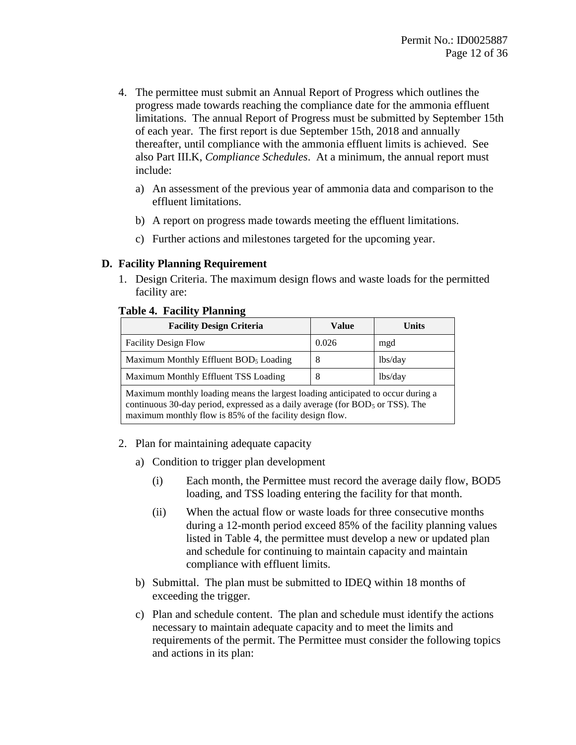- 4. The permittee must submit an Annual Report of Progress which outlines the progress made towards reaching the compliance date for the ammonia effluent limitations. The annual Report of Progress must be submitted by September 15th of each year. The first report is due September 15th, 2018 and annually thereafter, until compliance with the ammonia effluent limits is achieved. See also Part [III.K,](#page-18-0) *[Compliance Schedules](#page-18-0)*. At a minimum, the annual report must include:
	- a) An assessment of the previous year of ammonia data and comparison to the effluent limitations.
	- b) A report on progress made towards meeting the effluent limitations.
	- c) Further actions and milestones targeted for the upcoming year.

#### **D. Facility Planning Requirement**

1. Design Criteria. The maximum design flows and waste loads for the permitted facility are:

#### <span id="page-11-0"></span> **Table 4. Facility Planning**

| <b>Facility Design Criteria</b>                                                                                                                                                                                                | Value | Units   |  |
|--------------------------------------------------------------------------------------------------------------------------------------------------------------------------------------------------------------------------------|-------|---------|--|
| <b>Facility Design Flow</b>                                                                                                                                                                                                    | 0.026 | mgd     |  |
| Maximum Monthly Effluent BOD <sub>5</sub> Loading                                                                                                                                                                              | 8     | lbs/day |  |
| Maximum Monthly Effluent TSS Loading                                                                                                                                                                                           | 8     | lbs/day |  |
| Maximum monthly loading means the largest loading anticipated to occur during a<br>continuous 30-day period, expressed as a daily average (for $BOD5$ or TSS). The<br>maximum monthly flow is 85% of the facility design flow. |       |         |  |

- 2. Plan for maintaining adequate capacity
	- a) Condition to trigger plan development
		- (i) Each month, the Permittee must record the average daily flow, BOD5 loading, and TSS loading entering the facility for that month.
		- (ii) When the actual flow or waste loads for three consecutive months during a 12-month period exceed 85% of the facility planning values listed in Table 4, the permittee must develop a new or updated plan and schedule for continuing to maintain capacity and maintain compliance with effluent limits.
	- b) Submittal. The plan must be submitted to IDEQ within 18 months of exceeding the trigger.
	- c) Plan and schedule content. The plan and schedule must identify the actions necessary to maintain adequate capacity and to meet the limits and requirements of the permit. The Permittee must consider the following topics and actions in its plan: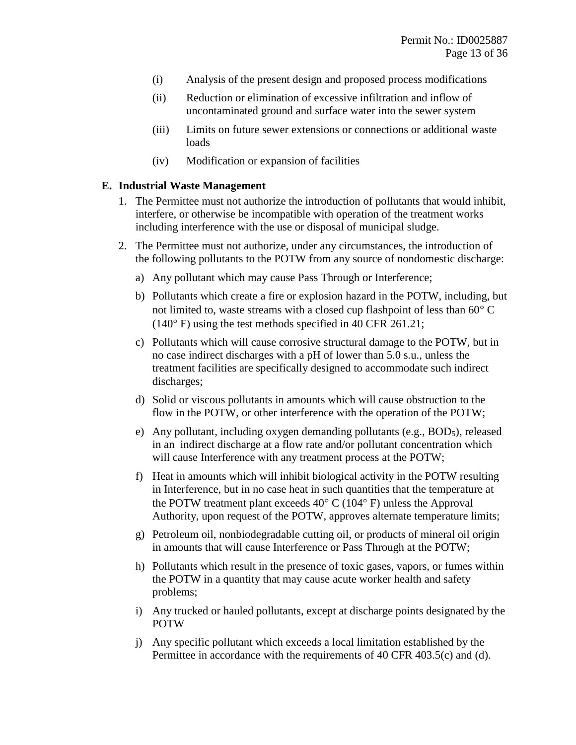- (i) Analysis of the present design and proposed process modifications
- (ii) Reduction or elimination of excessive infiltration and inflow of uncontaminated ground and surface water into the sewer system
- (iii) Limits on future sewer extensions or connections or additional waste loads
- (iv) Modification or expansion of facilities

#### **E. Industrial Waste Management**

- 1. The Permittee must not authorize the introduction of pollutants that would inhibit, interfere, or otherwise be incompatible with operation of the treatment works including interference with the use or disposal of municipal sludge.
- 2. The Permittee must not authorize, under any circumstances, the introduction of the following pollutants to the POTW from any source of nondomestic discharge:
	- a) Any pollutant which may cause Pass Through or Interference;
	- b) Pollutants which create a fire or explosion hazard in the POTW, including, but not limited to, waste streams with a closed cup flashpoint of less than  $60^{\circ}$  C  $(140^{\circ} \text{ F})$  using the test methods specified in 40 CFR 261.21;
	- c) Pollutants which will cause corrosive structural damage to the POTW, but in no case indirect discharges with a pH of lower than 5.0 s.u., unless the treatment facilities are specifically designed to accommodate such indirect discharges;
	- d) Solid or viscous pollutants in amounts which will cause obstruction to the flow in the POTW, or other interference with the operation of the POTW;
	- e) Any pollutant, including oxygen demanding pollutants (e.g.,  $BOD<sub>5</sub>$ ), released in an indirect discharge at a flow rate and/or pollutant concentration which will cause Interference with any treatment process at the POTW;
	- f) Heat in amounts which will inhibit biological activity in the POTW resulting in Interference, but in no case heat in such quantities that the temperature at the POTW treatment plant exceeds  $40^{\circ}$  C (104 $^{\circ}$  F) unless the Approval Authority, upon request of the POTW, approves alternate temperature limits;
	- g) Petroleum oil, nonbiodegradable cutting oil, or products of mineral oil origin in amounts that will cause Interference or Pass Through at the POTW;
	- h) Pollutants which result in the presence of toxic gases, vapors, or fumes within the POTW in a quantity that may cause acute worker health and safety problems;
	- i) Any trucked or hauled pollutants, except at discharge points designated by the POTW
	- j) Any specific pollutant which exceeds a local limitation established by the Permittee in accordance with the requirements of 40 CFR 403.5(c) and (d).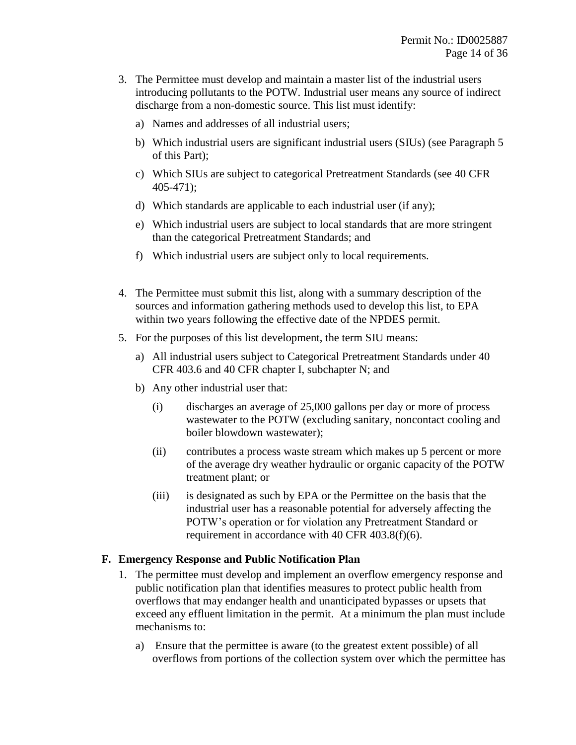- 3. The Permittee must develop and maintain a master list of the industrial users introducing pollutants to the POTW. Industrial user means any source of indirect discharge from a non-domestic source. This list must identify:
	- a) Names and addresses of all industrial users;
	- b) Which industrial users are significant industrial users (SIUs) (see Paragraph [5](#page-13-1) of this Part);
	- c) Which SIUs are subject to categorical Pretreatment Standards (see 40 CFR 405-471);
	- d) Which standards are applicable to each industrial user (if any);
	- e) Which industrial users are subject to local standards that are more stringent than the categorical Pretreatment Standards; and
	- f) Which industrial users are subject only to local requirements.
- 4. The Permittee must submit this list, along with a summary description of the sources and information gathering methods used to develop this list, to EPA within two years following the effective date of the NPDES permit.
- <span id="page-13-1"></span>5. For the purposes of this list development, the term SIU means:
	- a) All industrial users subject to Categorical Pretreatment Standards under 40 CFR 403.6 and 40 CFR chapter I, subchapter N; and
	- b) Any other industrial user that:
		- (i) discharges an average of 25,000 gallons per day or more of process wastewater to the POTW (excluding sanitary, noncontact cooling and boiler blowdown wastewater);
		- (ii) contributes a process waste stream which makes up 5 percent or more of the average dry weather hydraulic or organic capacity of the POTW treatment plant; or
		- (iii) is designated as such by EPA or the Permittee on the basis that the industrial user has a reasonable potential for adversely affecting the POTW's operation or for violation any Pretreatment Standard or requirement in accordance with 40 CFR 403.8(f)(6).

#### <span id="page-13-0"></span>**F. Emergency Response and Public Notification Plan**

- 1. The permittee must develop and implement an overflow emergency response and public notification plan that identifies measures to protect public health from overflows that may endanger health and unanticipated bypasses or upsets that exceed any effluent limitation in the permit. At a minimum the plan must include mechanisms to:
	- a) Ensure that the permittee is aware (to the greatest extent possible) of all overflows from portions of the collection system over which the permittee has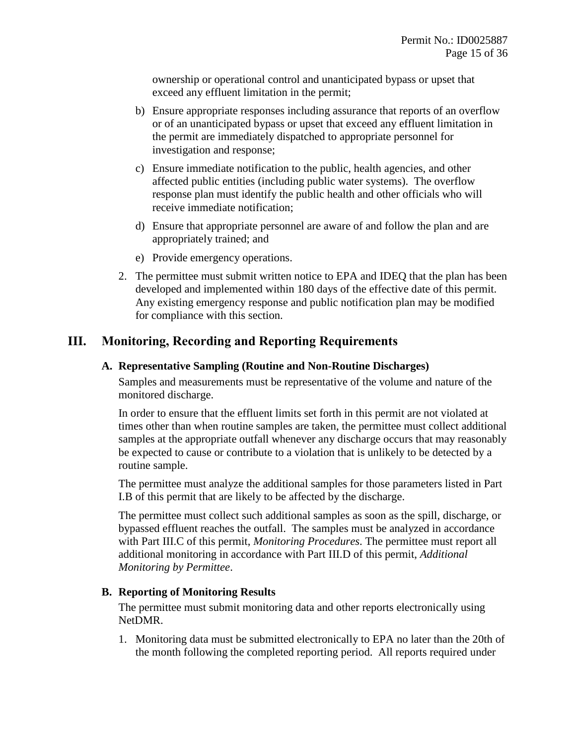ownership or operational control and unanticipated bypass or upset that exceed any effluent limitation in the permit;

- b) Ensure appropriate responses including assurance that reports of an overflow or of an unanticipated bypass or upset that exceed any effluent limitation in the permit are immediately dispatched to appropriate personnel for investigation and response;
- c) Ensure immediate notification to the public, health agencies, and other affected public entities (including public water systems). The overflow response plan must identify the public health and other officials who will receive immediate notification;
- d) Ensure that appropriate personnel are aware of and follow the plan and are appropriately trained; and
- e) Provide emergency operations.
- 2. The permittee must submit written notice to EPA and IDEQ that the plan has been developed and implemented within 180 days of the effective date of this permit. Any existing emergency response and public notification plan may be modified for compliance with this section.

## **III. Monitoring, Recording and Reporting Requirements**

#### **A. Representative Sampling (Routine and Non-Routine Discharges)**

Samples and measurements must be representative of the volume and nature of the monitored discharge.

In order to ensure that the effluent limits set forth in this permit are not violated at times other than when routine samples are taken, the permittee must collect additional samples at the appropriate outfall whenever any discharge occurs that may reasonably be expected to cause or contribute to a violation that is unlikely to be detected by a routine sample.

The permittee must analyze the additional samples for those parameters listed in Part [I.B](#page-4-0) of this permit that are likely to be affected by the discharge.

The permittee must collect such additional samples as soon as the spill, discharge, or bypassed effluent reaches the outfall. The samples must be analyzed in accordance with Part [III.C](#page-15-0) of this permit, *[Monitoring Procedures](#page-15-0)*. The permittee must report all additional monitoring in accordance with Part [III.D](#page-15-1) of this permit, *[Additional](#page-15-1)  [Monitoring by Permittee](#page-15-1)*.

#### <span id="page-14-0"></span>**B. Reporting of Monitoring Results**

The permittee must submit monitoring data and other reports electronically using NetDMR.

1. Monitoring data must be submitted electronically to EPA no later than the 20th of the month following the completed reporting period. All reports required under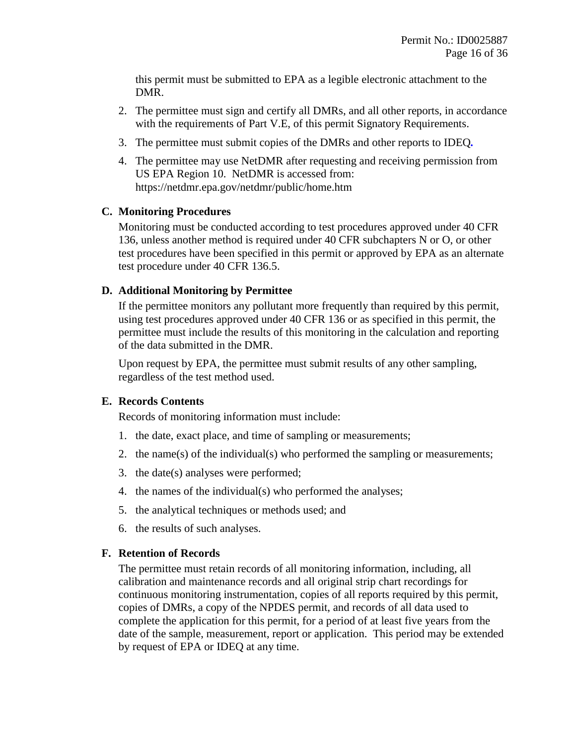this permit must be submitted to EPA as a legible electronic attachment to the DMR.

- 2. The permittee must sign and certify all DMRs, and all other reports, in accordance with the requirements of Part [V.E,](#page-23-1) of this permit [Signatory Requirements.](#page-23-1)
- 3. The permittee must submit copies of the DMRs and other reports to IDEQ*.*
- 4. The permittee may use NetDMR after requesting and receiving permission from US EPA Region 10. NetDMR is accessed from: https://netdmr.epa.gov/netdmr/public/home.htm

#### <span id="page-15-0"></span>**C. Monitoring Procedures**

Monitoring must be conducted according to test procedures approved under 40 CFR 136, unless another method is required under 40 CFR subchapters N or O, or other test procedures have been specified in this permit or approved by EPA as an alternate test procedure under 40 CFR 136.5.

#### <span id="page-15-1"></span>**D. Additional Monitoring by Permittee**

If the permittee monitors any pollutant more frequently than required by this permit, using test procedures approved under 40 CFR 136 or as specified in this permit, the permittee must include the results of this monitoring in the calculation and reporting of the data submitted in the DMR.

Upon request by EPA, the permittee must submit results of any other sampling, regardless of the test method used.

## **E. Records Contents**

Records of monitoring information must include:

- 1. the date, exact place, and time of sampling or measurements;
- 2. the name(s) of the individual(s) who performed the sampling or measurements;
- 3. the date(s) analyses were performed;
- 4. the names of the individual(s) who performed the analyses;
- 5. the analytical techniques or methods used; and
- 6. the results of such analyses.

## **F. Retention of Records**

The permittee must retain records of all monitoring information, including, all calibration and maintenance records and all original strip chart recordings for continuous monitoring instrumentation, copies of all reports required by this permit, copies of DMRs, a copy of the NPDES permit, and records of all data used to complete the application for this permit, for a period of at least five years from the date of the sample, measurement, report or application. This period may be extended by request of EPA or IDEQ at any time.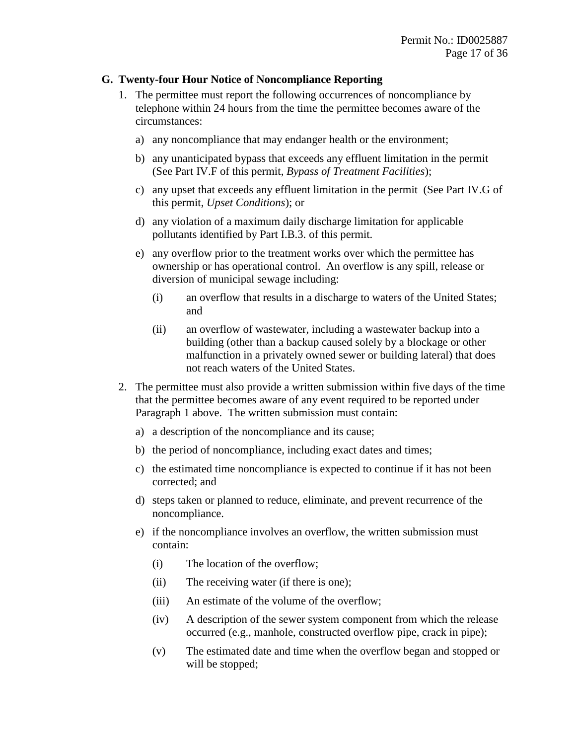#### <span id="page-16-0"></span>**G. Twenty-four Hour Notice of Noncompliance Reporting**

- <span id="page-16-1"></span>1. The permittee must report the following occurrences of noncompliance by telephone within 24 hours from the time the permittee becomes aware of the circumstances:
	- a) any noncompliance that may endanger health or the environment;
	- b) any unanticipated bypass that exceeds any effluent limitation in the permit (See Part [IV.F](#page-20-1) of this permit, *[Bypass of Treatment Facilities](#page-20-1)*);
	- c) any upset that exceeds any effluent limitation in the permit (See Part [IV.G](#page-21-0) of this permit, *[Upset Conditions](#page-21-0)*); or
	- d) any violation of a maximum daily discharge limitation for applicable pollutants identified by Part I.B.3. of this permit.
	- e) any overflow prior to the treatment works over which the permittee has ownership or has operational control. An overflow is any spill, release or diversion of municipal sewage including:
		- (i) an overflow that results in a discharge to waters of the United States; and
		- (ii) an overflow of wastewater, including a wastewater backup into a building (other than a backup caused solely by a blockage or other malfunction in a privately owned sewer or building lateral) that does not reach waters of the United States.
- <span id="page-16-2"></span>2. The permittee must also provide a written submission within five days of the time that the permittee becomes aware of any event required to be reported under Paragraph [1](#page-16-1) above. The written submission must contain:
	- a) a description of the noncompliance and its cause;
	- b) the period of noncompliance, including exact dates and times;
	- c) the estimated time noncompliance is expected to continue if it has not been corrected; and
	- d) steps taken or planned to reduce, eliminate, and prevent recurrence of the noncompliance.
	- e) if the noncompliance involves an overflow, the written submission must contain:
		- (i) The location of the overflow;
		- (ii) The receiving water (if there is one);
		- (iii) An estimate of the volume of the overflow;
		- (iv) A description of the sewer system component from which the release occurred (e.g., manhole, constructed overflow pipe, crack in pipe);
		- (v) The estimated date and time when the overflow began and stopped or will be stopped;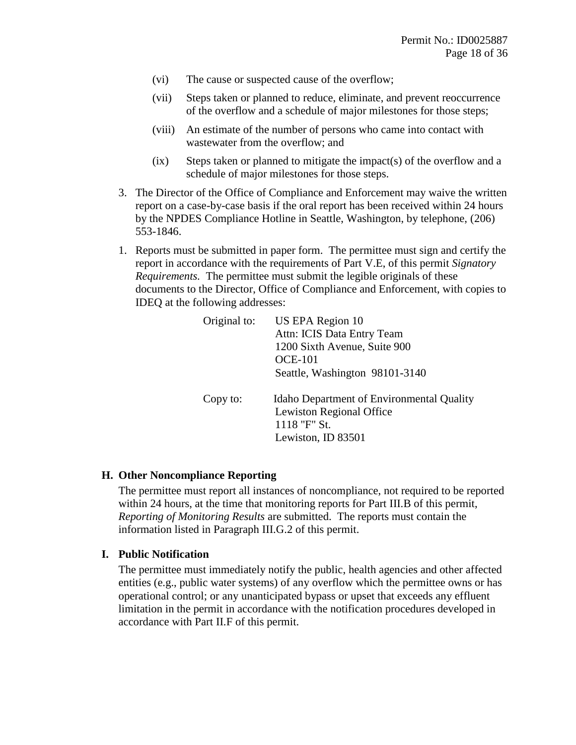- (vi) The cause or suspected cause of the overflow;
- (vii) Steps taken or planned to reduce, eliminate, and prevent reoccurrence of the overflow and a schedule of major milestones for those steps;
- (viii) An estimate of the number of persons who came into contact with wastewater from the overflow; and
- $(ix)$  Steps taken or planned to mitigate the impact(s) of the overflow and a schedule of major milestones for those steps.
- 3. The Director of the Office of Compliance and Enforcement may waive the written report on a case-by-case basis if the oral report has been received within 24 hours by the NPDES Compliance Hotline in Seattle, Washington, by telephone, (206) 553-1846.
- 1. Reports must be submitted in paper form. The permittee must sign and certify the report in accordance with the requirements of Part [V.E,](#page-23-1) of this permit *[Signatory](#page-23-1)  [Requirements.](#page-23-1)* The permittee must submit the legible originals of these documents to the Director, Office of Compliance and Enforcement, with copies to IDEQ at the following addresses:

| Original to: | US EPA Region 10                                                                                                          |
|--------------|---------------------------------------------------------------------------------------------------------------------------|
|              | Attn: ICIS Data Entry Team                                                                                                |
|              | 1200 Sixth Avenue, Suite 900                                                                                              |
|              | <b>OCE-101</b>                                                                                                            |
|              | Seattle, Washington 98101-3140                                                                                            |
| Copy to:     | <b>Idaho Department of Environmental Quality</b><br><b>Lewiston Regional Office</b><br>1118 "F" St.<br>Lewiston, ID 83501 |

#### **H. Other Noncompliance Reporting**

The permittee must report all instances of noncompliance, not required to be reported within 24 hours, at the time that monitoring reports for Part [III.B](#page-14-0) of this permit, *[Reporting of Monitoring Results](#page-14-0)* are submitted. The reports must contain the information listed in Paragraph [III.G.](#page-16-0)[2](#page-16-2) of this permit.

#### **I. Public Notification**

The permittee must immediately notify the public, health agencies and other affected entities (e.g., public water systems) of any overflow which the permittee owns or has operational control; or any unanticipated bypass or upset that exceeds any effluent limitation in the permit in accordance with the notification procedures developed in accordance with Part II.F of this permit.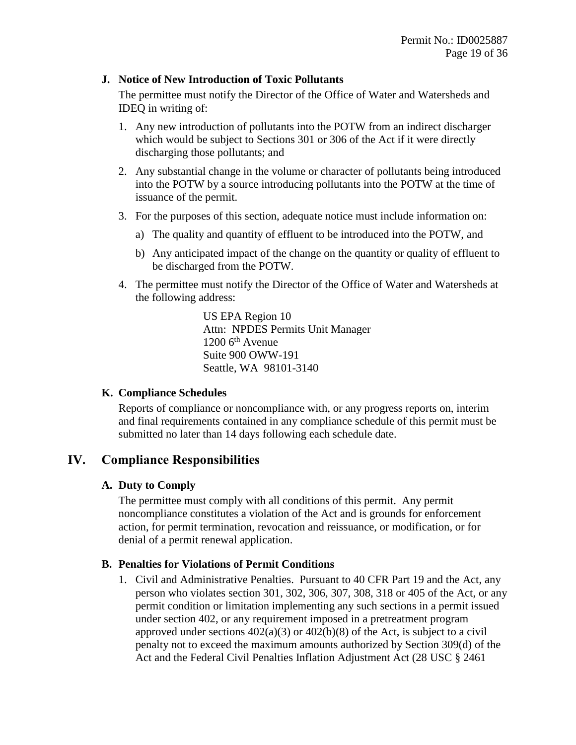#### <span id="page-18-1"></span>**J. Notice of New Introduction of Toxic Pollutants**

The permittee must notify the Director of the Office of Water and Watersheds and IDEQ in writing of:

- 1. Any new introduction of pollutants into the POTW from an indirect discharger which would be subject to Sections 301 or 306 of the Act if it were directly discharging those pollutants; and
- 2. Any substantial change in the volume or character of pollutants being introduced into the POTW by a source introducing pollutants into the POTW at the time of issuance of the permit.
- 3. For the purposes of this section, adequate notice must include information on:
	- a) The quality and quantity of effluent to be introduced into the POTW, and
	- b) Any anticipated impact of the change on the quantity or quality of effluent to be discharged from the POTW.
- <span id="page-18-2"></span>4. The permittee must notify the Director of the Office of Water and Watersheds at the following address:

US EPA Region 10 Attn: NPDES Permits Unit Manager  $1200$  6<sup>th</sup> Avenue Suite 900 OWW-191 Seattle, WA 98101-3140

## <span id="page-18-0"></span>**K. Compliance Schedules**

Reports of compliance or noncompliance with, or any progress reports on, interim and final requirements contained in any compliance schedule of this permit must be submitted no later than 14 days following each schedule date.

## **IV. Compliance Responsibilities**

## **A. Duty to Comply**

The permittee must comply with all conditions of this permit. Any permit noncompliance constitutes a violation of the Act and is grounds for enforcement action, for permit termination, revocation and reissuance, or modification, or for denial of a permit renewal application.

## **B. Penalties for Violations of Permit Conditions**

1. Civil and Administrative Penalties. Pursuant to 40 CFR Part 19 and the Act, any person who violates section 301, 302, 306, 307, 308, 318 or 405 of the Act, or any permit condition or limitation implementing any such sections in a permit issued under section 402, or any requirement imposed in a pretreatment program approved under sections  $402(a)(3)$  or  $402(b)(8)$  of the Act, is subject to a civil penalty not to exceed the maximum amounts authorized by Section 309(d) of the Act and the Federal Civil Penalties Inflation Adjustment Act (28 USC § 2461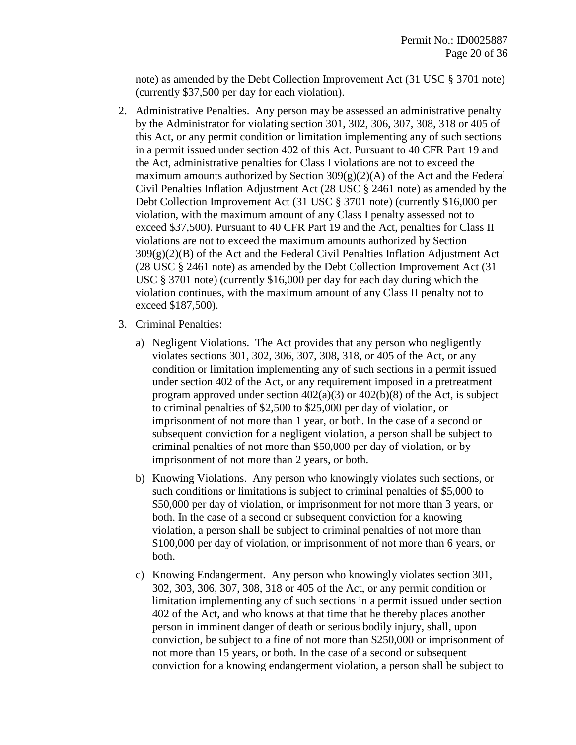note) as amended by the Debt Collection Improvement Act (31 USC § 3701 note) (currently \$37,500 per day for each violation).

- 2. Administrative Penalties. Any person may be assessed an administrative penalty by the Administrator for violating section 301, 302, 306, 307, 308, 318 or 405 of this Act, or any permit condition or limitation implementing any of such sections in a permit issued under section 402 of this Act. Pursuant to 40 CFR Part 19 and the Act, administrative penalties for Class I violations are not to exceed the maximum amounts authorized by Section  $309(g)(2)(A)$  of the Act and the Federal Civil Penalties Inflation Adjustment Act (28 USC § 2461 note) as amended by the Debt Collection Improvement Act (31 USC § 3701 note) (currently \$16,000 per violation, with the maximum amount of any Class I penalty assessed not to exceed \$37,500). Pursuant to 40 CFR Part 19 and the Act, penalties for Class II violations are not to exceed the maximum amounts authorized by Section  $309(g)(2)(B)$  of the Act and the Federal Civil Penalties Inflation Adjustment Act (28 USC § 2461 note) as amended by the Debt Collection Improvement Act (31 USC § 3701 note) (currently \$16,000 per day for each day during which the violation continues, with the maximum amount of any Class II penalty not to exceed \$187,500).
- 3. Criminal Penalties:
	- a) Negligent Violations. The Act provides that any person who negligently violates sections 301, 302, 306, 307, 308, 318, or 405 of the Act, or any condition or limitation implementing any of such sections in a permit issued under section 402 of the Act, or any requirement imposed in a pretreatment program approved under section  $402(a)(3)$  or  $402(b)(8)$  of the Act, is subject to criminal penalties of \$2,500 to \$25,000 per day of violation, or imprisonment of not more than 1 year, or both. In the case of a second or subsequent conviction for a negligent violation, a person shall be subject to criminal penalties of not more than \$50,000 per day of violation, or by imprisonment of not more than 2 years, or both.
	- b) Knowing Violations. Any person who knowingly violates such sections, or such conditions or limitations is subject to criminal penalties of \$5,000 to \$50,000 per day of violation, or imprisonment for not more than 3 years, or both. In the case of a second or subsequent conviction for a knowing violation, a person shall be subject to criminal penalties of not more than \$100,000 per day of violation, or imprisonment of not more than 6 years, or both.
	- c) Knowing Endangerment. Any person who knowingly violates section 301, 302, 303, 306, 307, 308, 318 or 405 of the Act, or any permit condition or limitation implementing any of such sections in a permit issued under section 402 of the Act, and who knows at that time that he thereby places another person in imminent danger of death or serious bodily injury, shall, upon conviction, be subject to a fine of not more than \$250,000 or imprisonment of not more than 15 years, or both. In the case of a second or subsequent conviction for a knowing endangerment violation, a person shall be subject to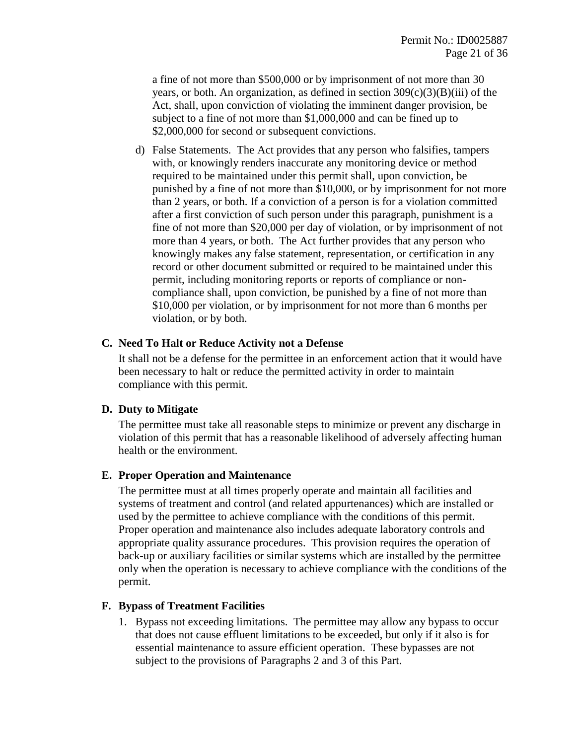a fine of not more than \$500,000 or by imprisonment of not more than 30 years, or both. An organization, as defined in section  $309(c)(3)(B)(iii)$  of the Act, shall, upon conviction of violating the imminent danger provision, be subject to a fine of not more than \$1,000,000 and can be fined up to \$2,000,000 for second or subsequent convictions.

d) False Statements. The Act provides that any person who falsifies, tampers with, or knowingly renders inaccurate any monitoring device or method required to be maintained under this permit shall, upon conviction, be punished by a fine of not more than \$10,000, or by imprisonment for not more than 2 years, or both. If a conviction of a person is for a violation committed after a first conviction of such person under this paragraph, punishment is a fine of not more than \$20,000 per day of violation, or by imprisonment of not more than 4 years, or both. The Act further provides that any person who knowingly makes any false statement, representation, or certification in any record or other document submitted or required to be maintained under this permit, including monitoring reports or reports of compliance or noncompliance shall, upon conviction, be punished by a fine of not more than \$10,000 per violation, or by imprisonment for not more than 6 months per violation, or by both.

#### **C. Need To Halt or Reduce Activity not a Defense**

It shall not be a defense for the permittee in an enforcement action that it would have been necessary to halt or reduce the permitted activity in order to maintain compliance with this permit.

#### <span id="page-20-2"></span>**D. Duty to Mitigate**

The permittee must take all reasonable steps to minimize or prevent any discharge in violation of this permit that has a reasonable likelihood of adversely affecting human health or the environment.

## <span id="page-20-0"></span>**E. Proper Operation and Maintenance**

The permittee must at all times properly operate and maintain all facilities and systems of treatment and control (and related appurtenances) which are installed or used by the permittee to achieve compliance with the conditions of this permit. Proper operation and maintenance also includes adequate laboratory controls and appropriate quality assurance procedures. This provision requires the operation of back-up or auxiliary facilities or similar systems which are installed by the permittee only when the operation is necessary to achieve compliance with the conditions of the permit.

#### <span id="page-20-1"></span>**F. Bypass of Treatment Facilities**

1. Bypass not exceeding limitations. The permittee may allow any bypass to occur that does not cause effluent limitations to be exceeded, but only if it also is for essential maintenance to assure efficient operation. These bypasses are not subject to the provisions of Paragraphs 2 and 3 of this Part.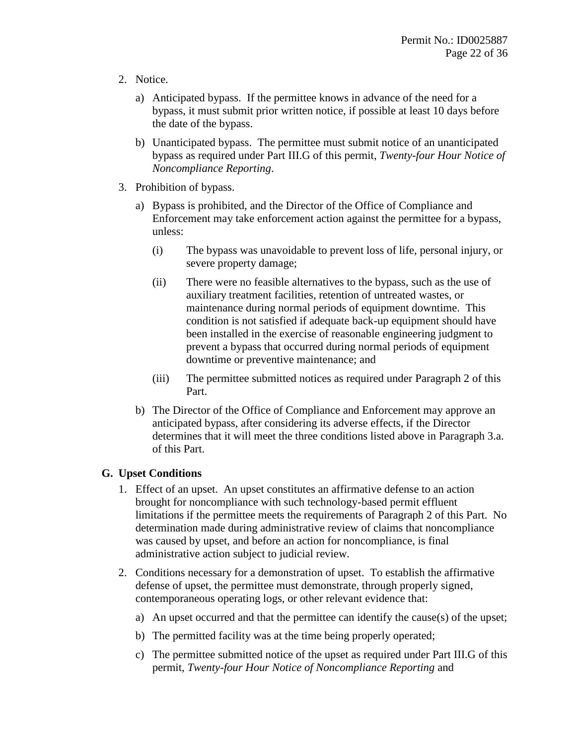- 2. Notice.
	- a) Anticipated bypass. If the permittee knows in advance of the need for a bypass, it must submit prior written notice, if possible at least 10 days before the date of the bypass.
	- b) Unanticipated bypass. The permittee must submit notice of an unanticipated bypass as required under Part [III.G](#page-16-0) of this permit, *[Twenty-four Hour Notice of](#page-16-0)  [Noncompliance Reporting](#page-16-0)*.
- 3. Prohibition of bypass.
	- a) Bypass is prohibited, and the Director of the Office of Compliance and Enforcement may take enforcement action against the permittee for a bypass, unless:
		- (i) The bypass was unavoidable to prevent loss of life, personal injury, or severe property damage;
		- (ii) There were no feasible alternatives to the bypass, such as the use of auxiliary treatment facilities, retention of untreated wastes, or maintenance during normal periods of equipment downtime. This condition is not satisfied if adequate back-up equipment should have been installed in the exercise of reasonable engineering judgment to prevent a bypass that occurred during normal periods of equipment downtime or preventive maintenance; and
		- (iii) The permittee submitted notices as required under Paragraph 2 of this Part.
	- b) The Director of the Office of Compliance and Enforcement may approve an anticipated bypass, after considering its adverse effects, if the Director determines that it will meet the three conditions listed above in Paragraph 3.a. of this Part.

## <span id="page-21-0"></span>**G. Upset Conditions**

- 1. Effect of an upset. An upset constitutes an affirmative defense to an action brought for noncompliance with such technology-based permit effluent limitations if the permittee meets the requirements of Paragraph 2 of this Part. No determination made during administrative review of claims that noncompliance was caused by upset, and before an action for noncompliance, is final administrative action subject to judicial review.
- 2. Conditions necessary for a demonstration of upset. To establish the affirmative defense of upset, the permittee must demonstrate, through properly signed, contemporaneous operating logs, or other relevant evidence that:
	- a) An upset occurred and that the permittee can identify the cause(s) of the upset;
	- b) The permitted facility was at the time being properly operated;
	- c) The permittee submitted notice of the upset as required under Part [III.G](#page-16-0) of this permit, *[Twenty-four Hour Notice of Noncompliance Reporting](#page-16-0)* and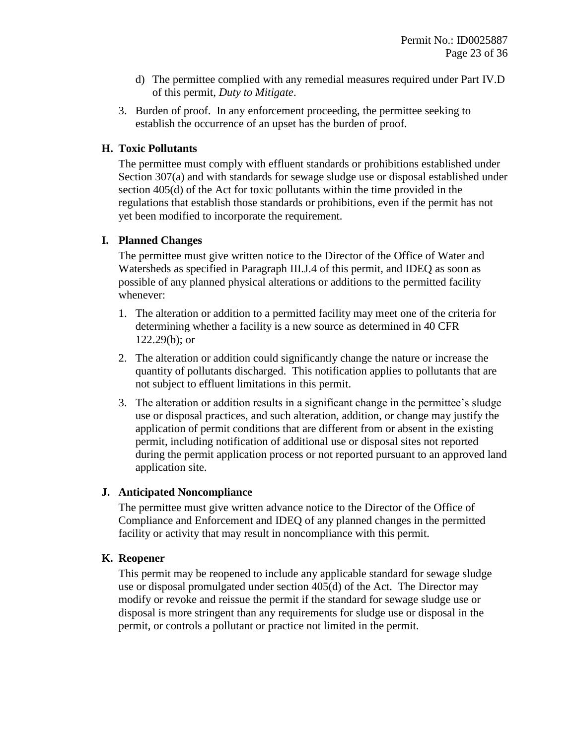- d) The permittee complied with any remedial measures required under Part [IV.D](#page-20-2) of this permit, *[Duty to Mitigate](#page-20-2)*.
- 3. Burden of proof. In any enforcement proceeding, the permittee seeking to establish the occurrence of an upset has the burden of proof.

#### **H. Toxic Pollutants**

The permittee must comply with effluent standards or prohibitions established under Section 307(a) and with standards for sewage sludge use or disposal established under section 405(d) of the Act for toxic pollutants within the time provided in the regulations that establish those standards or prohibitions, even if the permit has not yet been modified to incorporate the requirement.

#### **I. Planned Changes**

The permittee must give written notice to the Director of the Office of Water and Watersheds as specified in Paragraph [III.J](#page-18-1)[.4](#page-18-2) of this permit, and IDEQ as soon as possible of any planned physical alterations or additions to the permitted facility whenever:

- 1. The alteration or addition to a permitted facility may meet one of the criteria for determining whether a facility is a new source as determined in 40 CFR 122.29(b); or
- 2. The alteration or addition could significantly change the nature or increase the quantity of pollutants discharged. This notification applies to pollutants that are not subject to effluent limitations in this permit.
- 3. The alteration or addition results in a significant change in the permittee's sludge use or disposal practices, and such alteration, addition, or change may justify the application of permit conditions that are different from or absent in the existing permit, including notification of additional use or disposal sites not reported during the permit application process or not reported pursuant to an approved land application site.

## **J. Anticipated Noncompliance**

The permittee must give written advance notice to the Director of the Office of Compliance and Enforcement and IDEQ of any planned changes in the permitted facility or activity that may result in noncompliance with this permit.

## **K. Reopener**

This permit may be reopened to include any applicable standard for sewage sludge use or disposal promulgated under section 405(d) of the Act. The Director may modify or revoke and reissue the permit if the standard for sewage sludge use or disposal is more stringent than any requirements for sludge use or disposal in the permit, or controls a pollutant or practice not limited in the permit.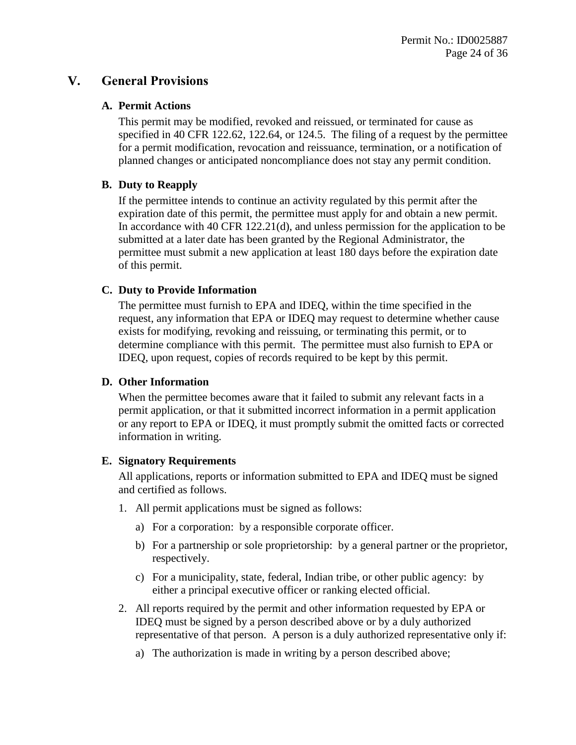## **V. General Provisions**

#### **A. Permit Actions**

This permit may be modified, revoked and reissued, or terminated for cause as specified in 40 CFR 122.62, 122.64, or 124.5. The filing of a request by the permittee for a permit modification, revocation and reissuance, termination, or a notification of planned changes or anticipated noncompliance does not stay any permit condition.

## <span id="page-23-0"></span>**B. Duty to Reapply**

If the permittee intends to continue an activity regulated by this permit after the expiration date of this permit, the permittee must apply for and obtain a new permit. In accordance with 40 CFR 122.21(d), and unless permission for the application to be submitted at a later date has been granted by the Regional Administrator, the permittee must submit a new application at least 180 days before the expiration date of this permit.

## **C. Duty to Provide Information**

The permittee must furnish to EPA and IDEQ*,* within the time specified in the request, any information that EPA or IDEQ may request to determine whether cause exists for modifying, revoking and reissuing, or terminating this permit, or to determine compliance with this permit. The permittee must also furnish to EPA or IDEQ, upon request, copies of records required to be kept by this permit.

## **D. Other Information**

When the permittee becomes aware that it failed to submit any relevant facts in a permit application, or that it submitted incorrect information in a permit application or any report to EPA or IDEQ*,* it must promptly submit the omitted facts or corrected information in writing.

## <span id="page-23-1"></span>**E. Signatory Requirements**

All applications, reports or information submitted to EPA and IDEQ must be signed and certified as follows.

- 1. All permit applications must be signed as follows:
	- a) For a corporation: by a responsible corporate officer.
	- b) For a partnership or sole proprietorship: by a general partner or the proprietor, respectively.
	- c) For a municipality, state, federal, Indian tribe, or other public agency: by either a principal executive officer or ranking elected official.
- <span id="page-23-2"></span>2. All reports required by the permit and other information requested by EPA or IDEQ must be signed by a person described above or by a duly authorized representative of that person. A person is a duly authorized representative only if:
	- a) The authorization is made in writing by a person described above;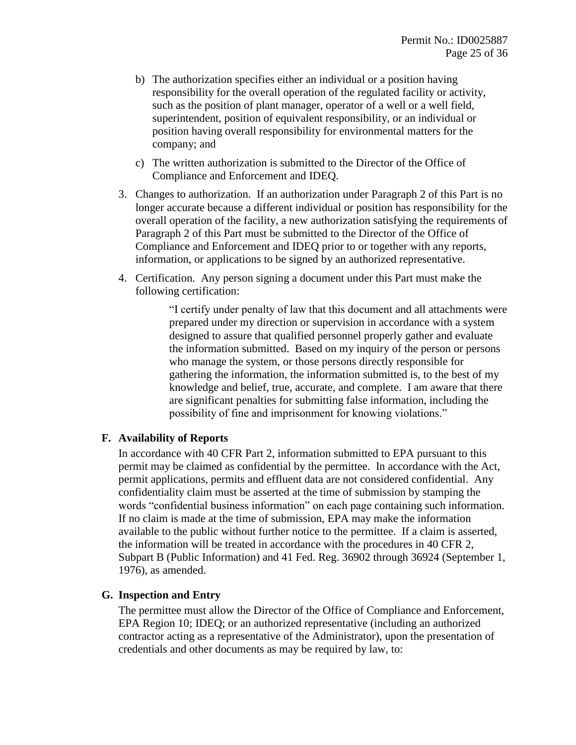- b) The authorization specifies either an individual or a position having responsibility for the overall operation of the regulated facility or activity, such as the position of plant manager, operator of a well or a well field, superintendent, position of equivalent responsibility, or an individual or position having overall responsibility for environmental matters for the company; and
- c) The written authorization is submitted to the Director of the Office of Compliance and Enforcement and IDEQ.
- 3. Changes to authorization. If an authorization under Paragraph [2](#page-23-2) of this Part is no longer accurate because a different individual or position has responsibility for the overall operation of the facility, a new authorization satisfying the requirements of Paragraph [2](#page-23-2) of this Part must be submitted to the Director of the Office of Compliance and Enforcement and IDEQ prior to or together with any reports, information, or applications to be signed by an authorized representative.
- 4. Certification. Any person signing a document under this Part must make the following certification:

"I certify under penalty of law that this document and all attachments were prepared under my direction or supervision in accordance with a system designed to assure that qualified personnel properly gather and evaluate the information submitted. Based on my inquiry of the person or persons who manage the system, or those persons directly responsible for gathering the information, the information submitted is, to the best of my knowledge and belief, true, accurate, and complete. I am aware that there are significant penalties for submitting false information, including the possibility of fine and imprisonment for knowing violations."

## **F. Availability of Reports**

In accordance with 40 CFR Part 2, information submitted to EPA pursuant to this permit may be claimed as confidential by the permittee. In accordance with the Act, permit applications, permits and effluent data are not considered confidential. Any confidentiality claim must be asserted at the time of submission by stamping the words "confidential business information" on each page containing such information. If no claim is made at the time of submission, EPA may make the information available to the public without further notice to the permittee. If a claim is asserted, the information will be treated in accordance with the procedures in 40 CFR 2, Subpart B (Public Information) and 41 Fed. Reg. 36902 through 36924 (September 1, 1976), as amended.

#### **G. Inspection and Entry**

The permittee must allow the Director of the Office of Compliance and Enforcement, EPA Region 10; IDEQ; or an authorized representative (including an authorized contractor acting as a representative of the Administrator), upon the presentation of credentials and other documents as may be required by law, to: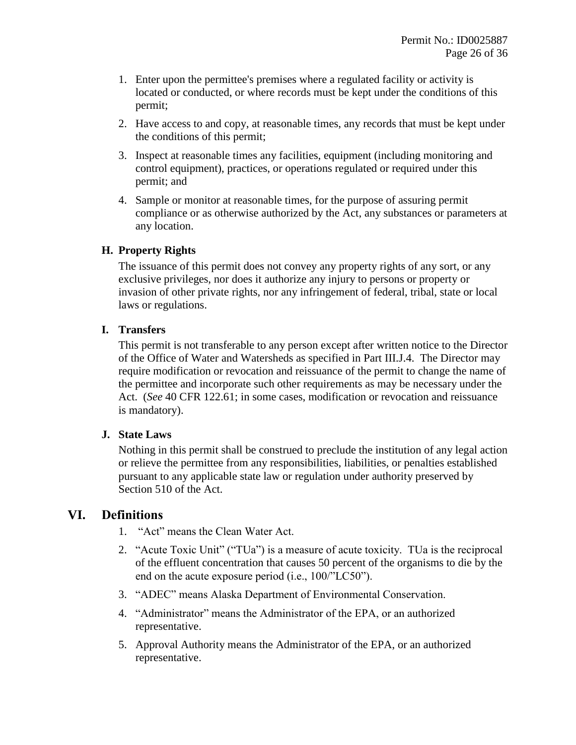- 1. Enter upon the permittee's premises where a regulated facility or activity is located or conducted, or where records must be kept under the conditions of this permit;
- 2. Have access to and copy, at reasonable times, any records that must be kept under the conditions of this permit;
- 3. Inspect at reasonable times any facilities, equipment (including monitoring and control equipment), practices, or operations regulated or required under this permit; and
- 4. Sample or monitor at reasonable times, for the purpose of assuring permit compliance or as otherwise authorized by the Act, any substances or parameters at any location.

## **H. Property Rights**

The issuance of this permit does not convey any property rights of any sort, or any exclusive privileges, nor does it authorize any injury to persons or property or invasion of other private rights, nor any infringement of federal, tribal, state or local laws or regulations.

## **I. Transfers**

This permit is not transferable to any person except after written notice to the Director of the Office of Water and Watersheds as specified in Part [III.J](#page-18-1)[.4.](#page-18-2) The Director may require modification or revocation and reissuance of the permit to change the name of the permittee and incorporate such other requirements as may be necessary under the Act. (*See* 40 CFR 122.61; in some cases, modification or revocation and reissuance is mandatory).

## **J. State Laws**

Nothing in this permit shall be construed to preclude the institution of any legal action or relieve the permittee from any responsibilities, liabilities, or penalties established pursuant to any applicable state law or regulation under authority preserved by Section 510 of the Act.

## **VI. Definitions**

- 1. "Act" means the Clean Water Act.
- 2. "Acute Toxic Unit" ("TUa") is a measure of acute toxicity. TUa is the reciprocal of the effluent concentration that causes 50 percent of the organisms to die by the end on the acute exposure period (i.e., 100/"LC50").
- 3. "ADEC" means Alaska Department of Environmental Conservation.
- 4. "Administrator" means the Administrator of the EPA, or an authorized representative.
- 5. Approval Authority means the Administrator of the EPA, or an authorized representative.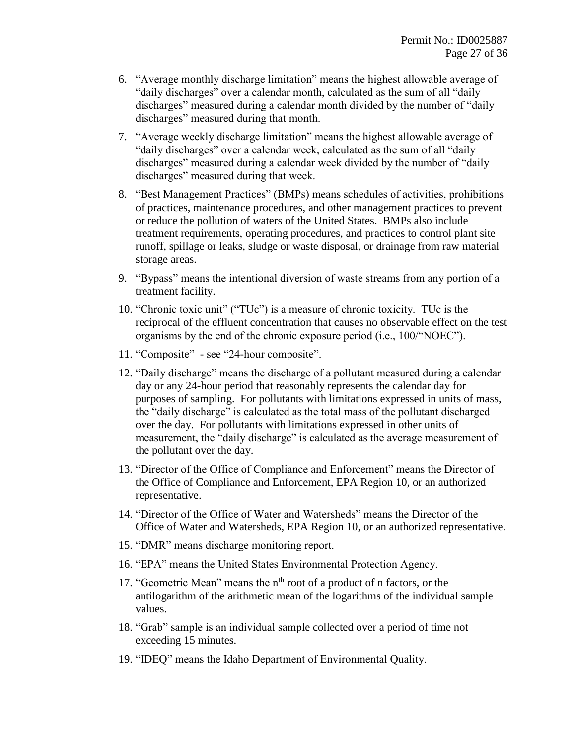- 6. "Average monthly discharge limitation" means the highest allowable average of "daily discharges" over a calendar month, calculated as the sum of all "daily discharges" measured during a calendar month divided by the number of "daily discharges" measured during that month.
- 7. "Average weekly discharge limitation" means the highest allowable average of "daily discharges" over a calendar week, calculated as the sum of all "daily discharges" measured during a calendar week divided by the number of "daily discharges" measured during that week.
- 8. "Best Management Practices" (BMPs) means schedules of activities, prohibitions of practices, maintenance procedures, and other management practices to prevent or reduce the pollution of waters of the United States. BMPs also include treatment requirements, operating procedures, and practices to control plant site runoff, spillage or leaks, sludge or waste disposal, or drainage from raw material storage areas.
- 9. "Bypass" means the intentional diversion of waste streams from any portion of a treatment facility.
- 10. "Chronic toxic unit" ("TUc") is a measure of chronic toxicity. TUc is the reciprocal of the effluent concentration that causes no observable effect on the test organisms by the end of the chronic exposure period (i.e., 100/"NOEC").
- 11. "Composite" see "24-hour composite".
- 12. "Daily discharge" means the discharge of a pollutant measured during a calendar day or any 24-hour period that reasonably represents the calendar day for purposes of sampling. For pollutants with limitations expressed in units of mass, the "daily discharge" is calculated as the total mass of the pollutant discharged over the day. For pollutants with limitations expressed in other units of measurement, the "daily discharge" is calculated as the average measurement of the pollutant over the day.
- 13. "Director of the Office of Compliance and Enforcement" means the Director of the Office of Compliance and Enforcement, EPA Region 10, or an authorized representative.
- 14. "Director of the Office of Water and Watersheds" means the Director of the Office of Water and Watersheds, EPA Region 10, or an authorized representative.
- 15. "DMR" means discharge monitoring report.
- 16. "EPA" means the United States Environmental Protection Agency.
- 17. "Geometric Mean" means the n<sup>th</sup> root of a product of n factors, or the antilogarithm of the arithmetic mean of the logarithms of the individual sample values.
- 18. "Grab" sample is an individual sample collected over a period of time not exceeding 15 minutes.
- 19. "IDEQ" means the Idaho Department of Environmental Quality.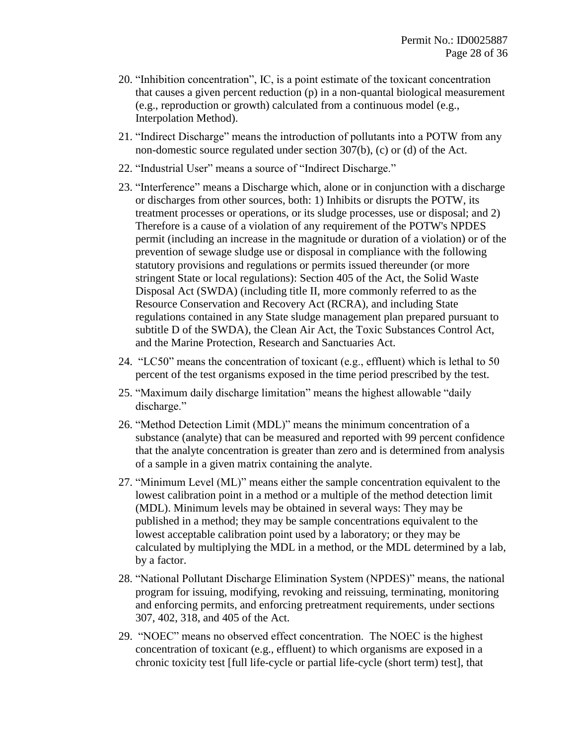- 20. "Inhibition concentration", IC, is a point estimate of the toxicant concentration that causes a given percent reduction (p) in a non-quantal biological measurement (e.g., reproduction or growth) calculated from a continuous model (e.g., Interpolation Method).
- 21. "Indirect Discharge" means the introduction of pollutants into a POTW from any non-domestic source regulated under section 307(b), (c) or (d) of the Act.
- 22. "Industrial User" means a source of "Indirect Discharge."
- 23. "Interference" means a Discharge which, alone or in conjunction with a discharge or discharges from other sources, both: 1) Inhibits or disrupts the POTW, its treatment processes or operations, or its sludge processes, use or disposal; and 2) Therefore is a cause of a violation of any requirement of the POTW's NPDES permit (including an increase in the magnitude or duration of a violation) or of the prevention of sewage sludge use or disposal in compliance with the following statutory provisions and regulations or permits issued thereunder (or more stringent State or local regulations): Section 405 of the Act, the Solid Waste Disposal Act (SWDA) (including title II, more commonly referred to as the Resource Conservation and Recovery Act (RCRA), and including State regulations contained in any State sludge management plan prepared pursuant to subtitle D of the SWDA), the Clean Air Act, the Toxic Substances Control Act, and the Marine Protection, Research and Sanctuaries Act.
- 24. "LC50" means the concentration of toxicant (e.g., effluent) which is lethal to 50 percent of the test organisms exposed in the time period prescribed by the test.
- 25. "Maximum daily discharge limitation" means the highest allowable "daily discharge."
- 26. "Method Detection Limit (MDL)" means the minimum concentration of a substance (analyte) that can be measured and reported with 99 percent confidence that the analyte concentration is greater than zero and is determined from analysis of a sample in a given matrix containing the analyte.
- 27. "Minimum Level (ML)" means either the sample concentration equivalent to the lowest calibration point in a method or a multiple of the method detection limit (MDL). Minimum levels may be obtained in several ways: They may be published in a method; they may be sample concentrations equivalent to the lowest acceptable calibration point used by a laboratory; or they may be calculated by multiplying the MDL in a method, or the MDL determined by a lab, by a factor.
- 28. "National Pollutant Discharge Elimination System (NPDES)" means, the national program for issuing, modifying, revoking and reissuing, terminating, monitoring and enforcing permits, and enforcing pretreatment requirements, under sections 307, 402, 318, and 405 of the Act.
- 29. "NOEC" means no observed effect concentration. The NOEC is the highest concentration of toxicant (e.g., effluent) to which organisms are exposed in a chronic toxicity test [full life-cycle or partial life-cycle (short term) test], that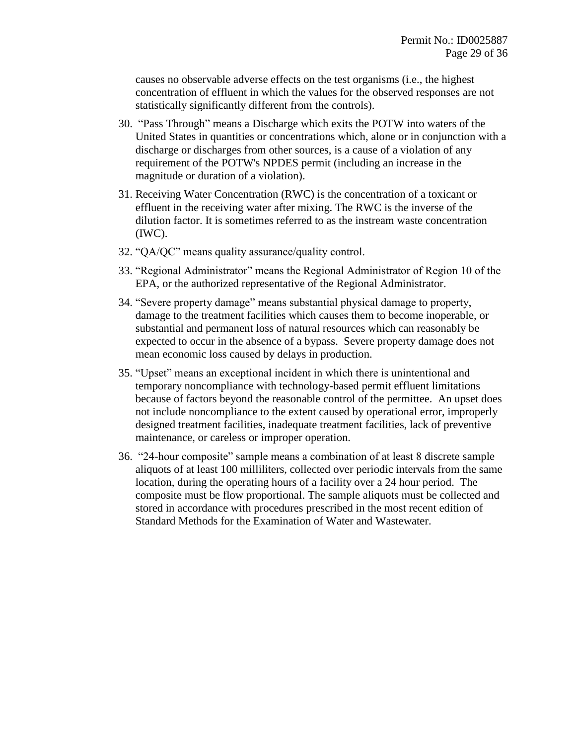causes no observable adverse effects on the test organisms (i.e., the highest concentration of effluent in which the values for the observed responses are not statistically significantly different from the controls).

- 30. "Pass Through" means a Discharge which exits the POTW into waters of the United States in quantities or concentrations which, alone or in conjunction with a discharge or discharges from other sources, is a cause of a violation of any requirement of the POTW's NPDES permit (including an increase in the magnitude or duration of a violation).
- 31. Receiving Water Concentration (RWC) is the concentration of a toxicant or effluent in the receiving water after mixing. The RWC is the inverse of the dilution factor. It is sometimes referred to as the instream waste concentration (IWC).
- 32. "QA/QC" means quality assurance/quality control.
- 33. "Regional Administrator" means the Regional Administrator of Region 10 of the EPA, or the authorized representative of the Regional Administrator.
- 34. "Severe property damage" means substantial physical damage to property, damage to the treatment facilities which causes them to become inoperable, or substantial and permanent loss of natural resources which can reasonably be expected to occur in the absence of a bypass. Severe property damage does not mean economic loss caused by delays in production.
- 35. "Upset" means an exceptional incident in which there is unintentional and temporary noncompliance with technology-based permit effluent limitations because of factors beyond the reasonable control of the permittee. An upset does not include noncompliance to the extent caused by operational error, improperly designed treatment facilities, inadequate treatment facilities, lack of preventive maintenance, or careless or improper operation.
- 36. "24-hour composite" sample means a combination of at least 8 discrete sample aliquots of at least 100 milliliters, collected over periodic intervals from the same location, during the operating hours of a facility over a 24 hour period. The composite must be flow proportional. The sample aliquots must be collected and stored in accordance with procedures prescribed in the most recent edition of Standard Methods for the Examination of Water and Wastewater.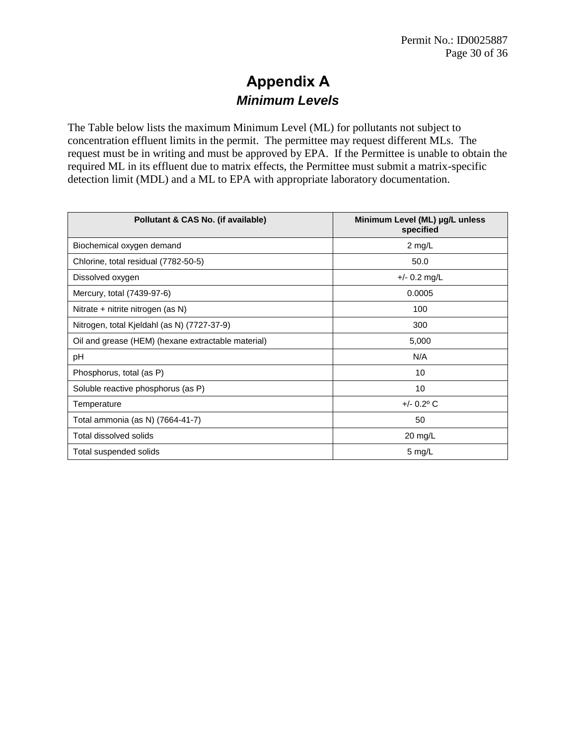# **Appendix A**  *Minimum Levels*

The Table below lists the maximum Minimum Level (ML) for pollutants not subject to concentration effluent limits in the permit. The permittee may request different MLs. The request must be in writing and must be approved by EPA. If the Permittee is unable to obtain the required ML in its effluent due to matrix effects, the Permittee must submit a matrix-specific detection limit (MDL) and a ML to EPA with appropriate laboratory documentation.

| Pollutant & CAS No. (if available)                 | Minimum Level (ML) µg/L unless<br>specified |
|----------------------------------------------------|---------------------------------------------|
| Biochemical oxygen demand                          | $2 \text{ mg/L}$                            |
| Chlorine, total residual (7782-50-5)               | 50.0                                        |
| Dissolved oxygen                                   | $+/- 0.2$ mg/L                              |
| Mercury, total (7439-97-6)                         | 0.0005                                      |
| Nitrate + nitrite nitrogen (as N)                  | 100                                         |
| Nitrogen, total Kjeldahl (as N) (7727-37-9)        | 300                                         |
| Oil and grease (HEM) (hexane extractable material) | 5,000                                       |
| pH                                                 | N/A                                         |
| Phosphorus, total (as P)                           | 10                                          |
| Soluble reactive phosphorus (as P)                 | 10                                          |
| Temperature                                        | $+/- 0.2^{\circ}$ C                         |
| Total ammonia (as N) (7664-41-7)                   | 50                                          |
| Total dissolved solids                             | 20 mg/L                                     |
| Total suspended solids                             | 5 mg/L                                      |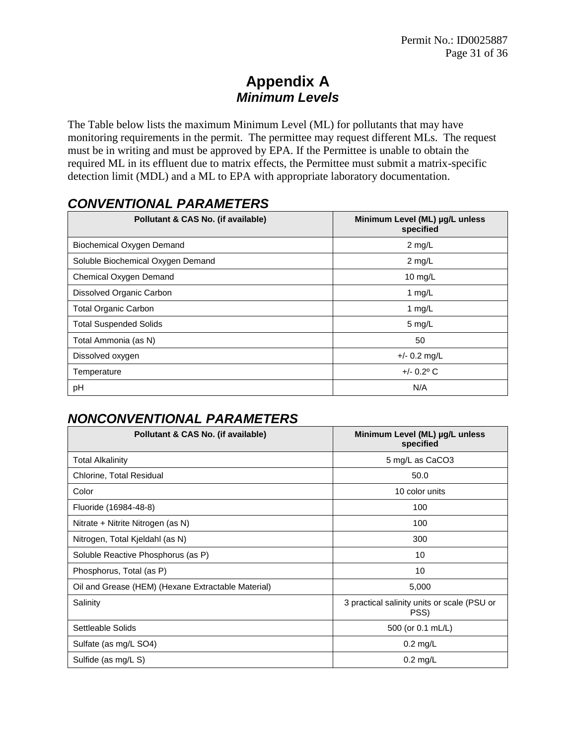# **Appendix A** *Minimum Levels*

The Table below lists the maximum Minimum Level (ML) for pollutants that may have monitoring requirements in the permit. The permittee may request different MLs. The request must be in writing and must be approved by EPA. If the Permittee is unable to obtain the required ML in its effluent due to matrix effects, the Permittee must submit a matrix-specific detection limit (MDL) and a ML to EPA with appropriate laboratory documentation.

# *CONVENTIONAL PARAMETERS*

| Pollutant & CAS No. (if available) | Minimum Level (ML) µg/L unless<br>specified |
|------------------------------------|---------------------------------------------|
| Biochemical Oxygen Demand          | $2$ mg/L                                    |
| Soluble Biochemical Oxygen Demand  | $2$ mg/L                                    |
| Chemical Oxygen Demand             | 10 $mg/L$                                   |
| Dissolved Organic Carbon           | 1 $mg/L$                                    |
| <b>Total Organic Carbon</b>        | 1 $mg/L$                                    |
| <b>Total Suspended Solids</b>      | $5 \text{ mg/L}$                            |
| Total Ammonia (as N)               | 50                                          |
| Dissolved oxygen                   | $+/- 0.2$ mg/L                              |
| Temperature                        | $+/- 0.2^{\circ}$ C                         |
| pH                                 | N/A                                         |

# *NONCONVENTIONAL PARAMETERS*

| Pollutant & CAS No. (if available)                 | Minimum Level (ML) µg/L unless<br>specified         |
|----------------------------------------------------|-----------------------------------------------------|
| <b>Total Alkalinity</b>                            | 5 mg/L as CaCO3                                     |
| Chlorine, Total Residual                           | 50.0                                                |
| Color                                              | 10 color units                                      |
| Fluoride (16984-48-8)                              | 100                                                 |
| Nitrate + Nitrite Nitrogen (as N)                  | 100                                                 |
| Nitrogen, Total Kjeldahl (as N)                    | 300                                                 |
| Soluble Reactive Phosphorus (as P)                 | 10                                                  |
| Phosphorus, Total (as P)                           | 10                                                  |
| Oil and Grease (HEM) (Hexane Extractable Material) | 5,000                                               |
| Salinity                                           | 3 practical salinity units or scale (PSU or<br>PSS) |
| Settleable Solids                                  | 500 (or 0.1 mL/L)                                   |
| Sulfate (as mg/L SO4)                              | $0.2$ mg/L                                          |
| Sulfide (as mg/L S)                                | $0.2$ mg/L                                          |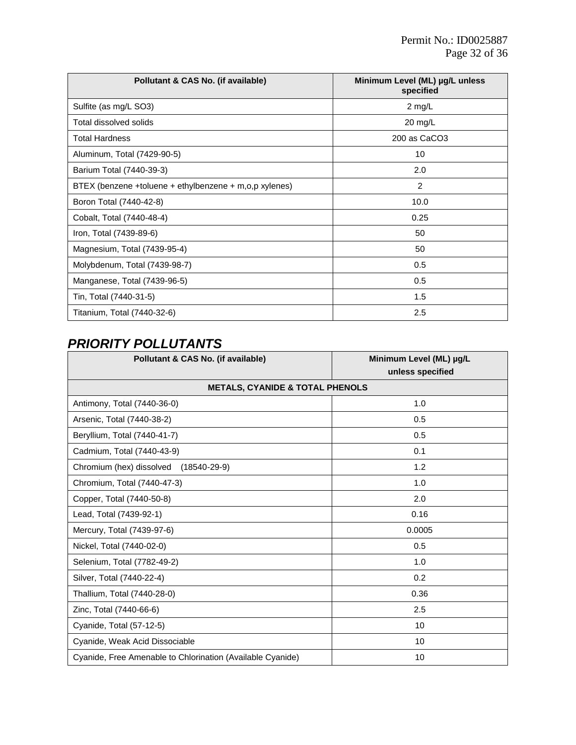| Pollutant & CAS No. (if available)                     | Minimum Level (ML) µg/L unless<br>specified |
|--------------------------------------------------------|---------------------------------------------|
| Sulfite (as mg/L SO3)                                  | $2$ mg/L                                    |
| Total dissolved solids                                 | $20$ mg/L                                   |
| <b>Total Hardness</b>                                  | 200 as CaCO3                                |
| Aluminum, Total (7429-90-5)                            | 10                                          |
| Barium Total (7440-39-3)                               | 2.0                                         |
| BTEX (benzene +toluene + ethylbenzene + m,o,p xylenes) | 2                                           |
| Boron Total (7440-42-8)                                | 10.0                                        |
| Cobalt, Total (7440-48-4)                              | 0.25                                        |
| Iron, Total (7439-89-6)                                | 50                                          |
| Magnesium, Total (7439-95-4)                           | 50                                          |
| Molybdenum, Total (7439-98-7)                          | 0.5                                         |
| Manganese, Total (7439-96-5)                           | 0.5                                         |
| Tin, Total (7440-31-5)                                 | 1.5                                         |
| Titanium, Total (7440-32-6)                            | 2.5                                         |

# *PRIORITY POLLUTANTS*

| Pollutant & CAS No. (if available)                         | Minimum Level (ML) µg/L<br>unless specified |
|------------------------------------------------------------|---------------------------------------------|
| <b>METALS, CYANIDE &amp; TOTAL PHENOLS</b>                 |                                             |
| Antimony, Total (7440-36-0)                                | 1.0                                         |
| Arsenic, Total (7440-38-2)                                 | 0.5                                         |
| Beryllium, Total (7440-41-7)                               | 0.5                                         |
| Cadmium, Total (7440-43-9)                                 | 0.1                                         |
| Chromium (hex) dissolved<br>$(18540 - 29 - 9)$             | 1.2                                         |
| Chromium, Total (7440-47-3)                                | 1.0                                         |
| Copper, Total (7440-50-8)                                  | 2.0                                         |
| Lead, Total (7439-92-1)                                    | 0.16                                        |
| Mercury, Total (7439-97-6)                                 | 0.0005                                      |
| Nickel, Total (7440-02-0)                                  | 0.5                                         |
| Selenium, Total (7782-49-2)                                | 1.0                                         |
| Silver, Total (7440-22-4)                                  | 0.2                                         |
| Thallium, Total (7440-28-0)                                | 0.36                                        |
| Zinc, Total (7440-66-6)                                    | 2.5                                         |
| Cyanide, Total (57-12-5)                                   | 10                                          |
| Cyanide, Weak Acid Dissociable                             | 10                                          |
| Cyanide, Free Amenable to Chlorination (Available Cyanide) | 10                                          |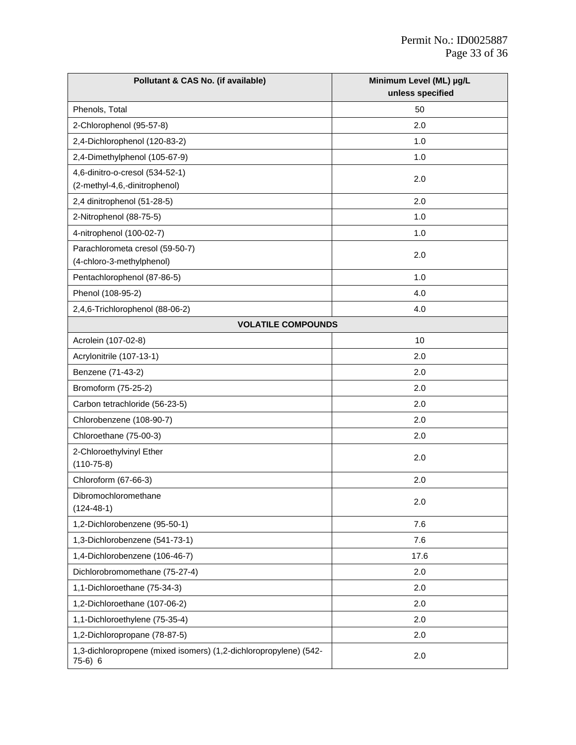| Pollutant & CAS No. (if available)                                            | Minimum Level (ML) µg/L<br>unless specified |
|-------------------------------------------------------------------------------|---------------------------------------------|
| Phenols, Total                                                                | 50                                          |
| 2-Chlorophenol (95-57-8)                                                      | 2.0                                         |
| 2,4-Dichlorophenol (120-83-2)                                                 | 1.0                                         |
| 2,4-Dimethylphenol (105-67-9)                                                 | 1.0                                         |
| 4,6-dinitro-o-cresol (534-52-1)                                               |                                             |
| (2-methyl-4,6,-dinitrophenol)                                                 | 2.0                                         |
| 2,4 dinitrophenol (51-28-5)                                                   | 2.0                                         |
| 2-Nitrophenol (88-75-5)                                                       | 1.0                                         |
| 4-nitrophenol (100-02-7)                                                      | 1.0                                         |
| Parachlorometa cresol (59-50-7)<br>(4-chloro-3-methylphenol)                  | 2.0                                         |
| Pentachlorophenol (87-86-5)                                                   | 1.0                                         |
| Phenol (108-95-2)                                                             | 4.0                                         |
| 2,4,6-Trichlorophenol (88-06-2)                                               | 4.0                                         |
| <b>VOLATILE COMPOUNDS</b>                                                     |                                             |
| Acrolein (107-02-8)                                                           | 10                                          |
| Acrylonitrile (107-13-1)                                                      | 2.0                                         |
| Benzene (71-43-2)                                                             | 2.0                                         |
| Bromoform (75-25-2)                                                           | 2.0                                         |
| Carbon tetrachloride (56-23-5)                                                | 2.0                                         |
| Chlorobenzene (108-90-7)                                                      | 2.0                                         |
| Chloroethane (75-00-3)                                                        | 2.0                                         |
| 2-Chloroethylvinyl Ether<br>$(110 - 75 - 8)$                                  | 2.0                                         |
| Chloroform (67-66-3)                                                          | 2.0                                         |
| Dibromochloromethane<br>$(124 - 48 - 1)$                                      | 2.0                                         |
| 1,2-Dichlorobenzene (95-50-1)                                                 | 7.6                                         |
| 1,3-Dichlorobenzene (541-73-1)                                                | 7.6                                         |
| 1,4-Dichlorobenzene (106-46-7)                                                | 17.6                                        |
| Dichlorobromomethane (75-27-4)                                                | 2.0                                         |
| 1,1-Dichloroethane (75-34-3)                                                  | 2.0                                         |
| 1,2-Dichloroethane (107-06-2)                                                 | 2.0                                         |
| 1,1-Dichloroethylene (75-35-4)                                                | 2.0                                         |
| 1,2-Dichloropropane (78-87-5)                                                 | 2.0                                         |
| 1,3-dichloropropene (mixed isomers) (1,2-dichloropropylene) (542-<br>$75-6)6$ | 2.0                                         |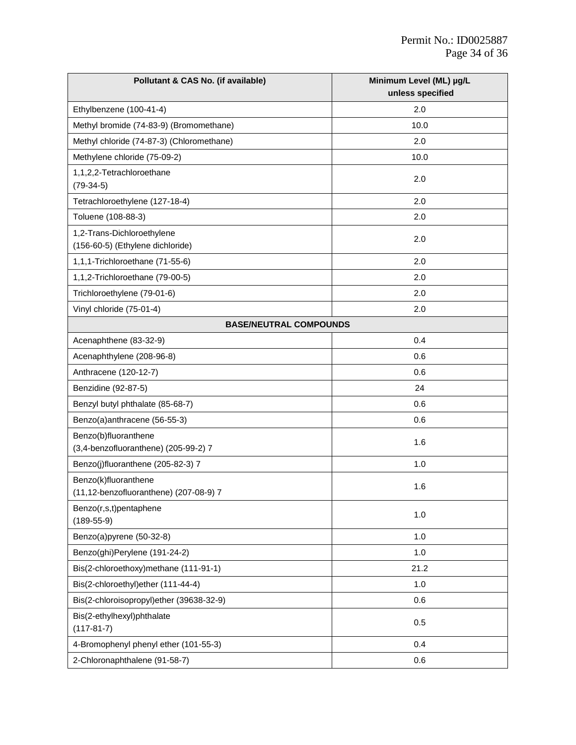| Pollutant & CAS No. (if available)                             | Minimum Level (ML) µg/L |
|----------------------------------------------------------------|-------------------------|
|                                                                | unless specified        |
| Ethylbenzene (100-41-4)                                        | 2.0                     |
| Methyl bromide (74-83-9) (Bromomethane)                        | 10.0                    |
| Methyl chloride (74-87-3) (Chloromethane)                      | 2.0                     |
| Methylene chloride (75-09-2)                                   | 10.0                    |
| 1,1,2,2-Tetrachloroethane<br>$(79-34-5)$                       | 2.0                     |
| Tetrachloroethylene (127-18-4)                                 | 2.0                     |
| Toluene (108-88-3)                                             | 2.0                     |
| 1,2-Trans-Dichloroethylene<br>(156-60-5) (Ethylene dichloride) | 2.0                     |
| 1,1,1-Trichloroethane (71-55-6)                                | 2.0                     |
| 1,1,2-Trichloroethane (79-00-5)                                | 2.0                     |
| Trichloroethylene (79-01-6)                                    | 2.0                     |
| Vinyl chloride (75-01-4)                                       | 2.0                     |
| <b>BASE/NEUTRAL COMPOUNDS</b>                                  |                         |
| Acenaphthene (83-32-9)                                         | 0.4                     |
| Acenaphthylene (208-96-8)                                      | 0.6                     |
| Anthracene (120-12-7)                                          | 0.6                     |
| Benzidine (92-87-5)                                            | 24                      |
| Benzyl butyl phthalate (85-68-7)                               | 0.6                     |
| Benzo(a)anthracene (56-55-3)                                   | 0.6                     |
| Benzo(b)fluoranthene<br>(3,4-benzofluoranthene) (205-99-2) 7   | 1.6                     |
| Benzo(j)fluoranthene (205-82-3) 7                              | 1.0                     |
| Benzo(k)fluoranthene<br>(11,12-benzofluoranthene) (207-08-9) 7 | 1.6                     |
| Benzo(r,s,t)pentaphene<br>$(189 - 55 - 9)$                     | 1.0                     |
| Benzo(a)pyrene (50-32-8)                                       | 1.0                     |
| Benzo(ghi)Perylene (191-24-2)                                  | 1.0                     |
| Bis(2-chloroethoxy)methane (111-91-1)                          | 21.2                    |
| Bis(2-chloroethyl)ether (111-44-4)                             | 1.0                     |
| Bis(2-chloroisopropyl)ether (39638-32-9)                       | 0.6                     |
| Bis(2-ethylhexyl)phthalate<br>$(117-81-7)$                     | 0.5                     |
| 4-Bromophenyl phenyl ether (101-55-3)                          | 0.4                     |
| 2-Chloronaphthalene (91-58-7)                                  | 0.6                     |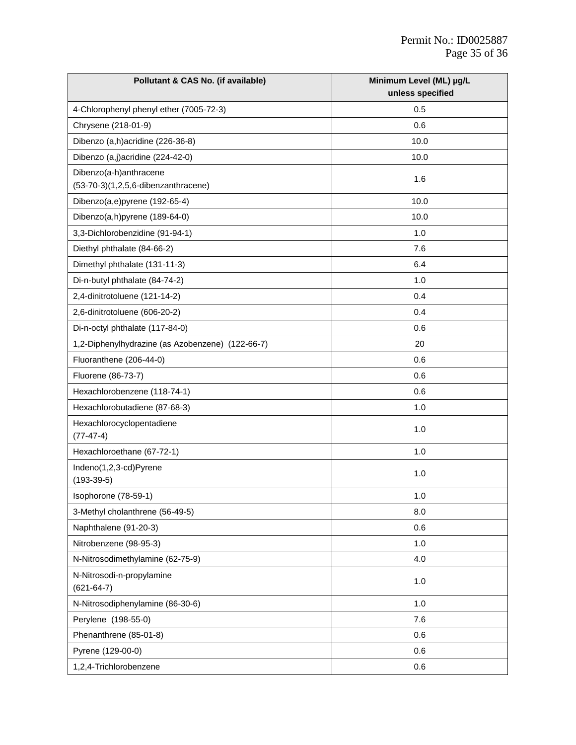| Pollutant & CAS No. (if available)               | Minimum Level (ML) µg/L<br>unless specified |
|--------------------------------------------------|---------------------------------------------|
| 4-Chlorophenyl phenyl ether (7005-72-3)          | 0.5                                         |
| Chrysene (218-01-9)                              | 0.6                                         |
| Dibenzo (a,h) acridine (226-36-8)                | 10.0                                        |
| Dibenzo (a,j)acridine (224-42-0)                 | 10.0                                        |
| Dibenzo(a-h)anthracene                           |                                             |
| (53-70-3)(1,2,5,6-dibenzanthracene)              | 1.6                                         |
| Dibenzo(a,e)pyrene (192-65-4)                    | 10.0                                        |
| Dibenzo(a,h)pyrene (189-64-0)                    | 10.0                                        |
| 3,3-Dichlorobenzidine (91-94-1)                  | 1.0                                         |
| Diethyl phthalate (84-66-2)                      | 7.6                                         |
| Dimethyl phthalate (131-11-3)                    | 6.4                                         |
| Di-n-butyl phthalate (84-74-2)                   | 1.0                                         |
| 2,4-dinitrotoluene (121-14-2)                    | 0.4                                         |
| 2,6-dinitrotoluene (606-20-2)                    | 0.4                                         |
| Di-n-octyl phthalate (117-84-0)                  | 0.6                                         |
| 1,2-Diphenylhydrazine (as Azobenzene) (122-66-7) | 20                                          |
| Fluoranthene (206-44-0)                          | 0.6                                         |
| Fluorene (86-73-7)                               | 0.6                                         |
| Hexachlorobenzene (118-74-1)                     | 0.6                                         |
| Hexachlorobutadiene (87-68-3)                    | 1.0                                         |
| Hexachlorocyclopentadiene<br>$(77-47-4)$         | 1.0                                         |
| Hexachloroethane (67-72-1)                       | 1.0                                         |
| Indeno(1,2,3-cd)Pyrene<br>$(193-39-5)$           | 1.0                                         |
| Isophorone (78-59-1)                             | 1.0                                         |
| 3-Methyl cholanthrene (56-49-5)                  | 8.0                                         |
| Naphthalene (91-20-3)                            | 0.6                                         |
| Nitrobenzene (98-95-3)                           | 1.0                                         |
| N-Nitrosodimethylamine (62-75-9)                 | 4.0                                         |
| N-Nitrosodi-n-propylamine<br>$(621 - 64 - 7)$    | 1.0                                         |
| N-Nitrosodiphenylamine (86-30-6)                 | 1.0                                         |
| Perylene (198-55-0)                              | 7.6                                         |
| Phenanthrene (85-01-8)                           | 0.6                                         |
| Pyrene (129-00-0)                                | 0.6                                         |
| 1,2,4-Trichlorobenzene                           | 0.6                                         |